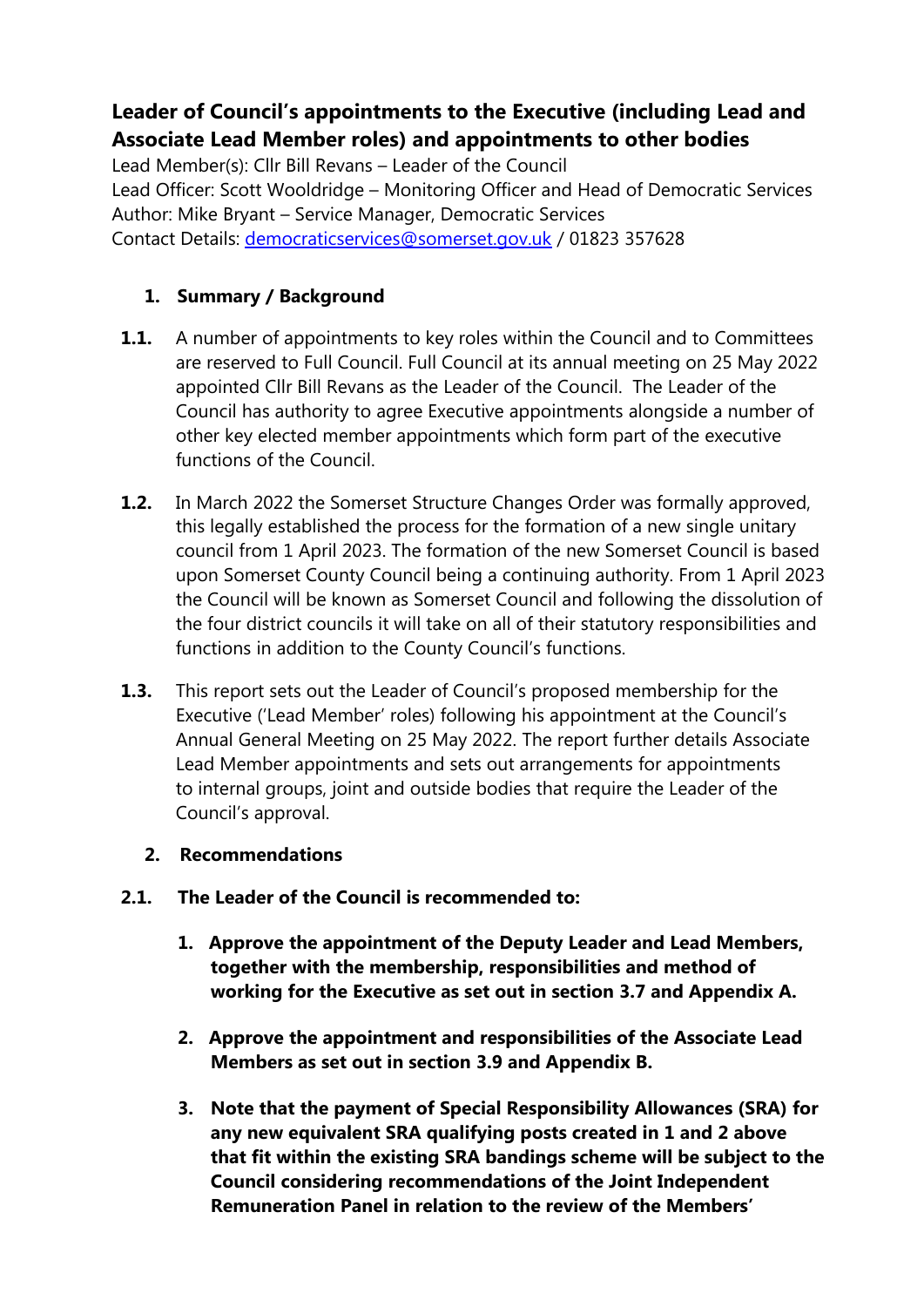# **Leader of Council's appointments to the Executive (including Lead and Associate Lead Member roles) and appointments to other bodies**

Lead Member(s): Cllr Bill Revans – Leader of the Council Lead Officer: Scott Wooldridge – Monitoring Officer and Head of Democratic Services Author: Mike Bryant – Service Manager, Democratic Services Contact Details: [democraticservices@somerset.gov.uk](mailto:democraticservices@somerset.gov.uk) / 01823 357628

## **1. Summary / Background**

- **1.1.** A number of appointments to key roles within the Council and to Committees are reserved to Full Council. Full Council at its annual meeting on 25 May 2022 appointed Cllr Bill Revans as the Leader of the Council. The Leader of the Council has authority to agree Executive appointments alongside a number of other key elected member appointments which form part of the executive functions of the Council.
- **1.2.** In March 2022 the Somerset Structure Changes Order was formally approved, this legally established the process for the formation of a new single unitary council from 1 April 2023. The formation of the new Somerset Council is based upon Somerset County Council being a continuing authority. From 1 April 2023 the Council will be known as Somerset Council and following the dissolution of the four district councils it will take on all of their statutory responsibilities and functions in addition to the County Council's functions.
- **1.3.** This report sets out the Leader of Council's proposed membership for the Executive ('Lead Member' roles) following his appointment at the Council's Annual General Meeting on 25 May 2022. The report further details Associate Lead Member appointments and sets out arrangements for appointments to internal groups, joint and outside bodies that require the Leader of the Council's approval.

## **2. Recommendations**

- **2.1. The Leader of the Council is recommended to:**
	- **1. Approve the appointment of the Deputy Leader and Lead Members, together with the membership, responsibilities and method of working for the Executive as set out in section 3.7 and Appendix A.**
	- **2. Approve the appointment and responsibilities of the Associate Lead Members as set out in section 3.9 and Appendix B.**
	- **3. Note that the payment of Special Responsibility Allowances (SRA) for any new equivalent SRA qualifying posts created in 1 and 2 above that fit within the existing SRA bandings scheme will be subject to the Council considering recommendations of the Joint Independent Remuneration Panel in relation to the review of the Members'**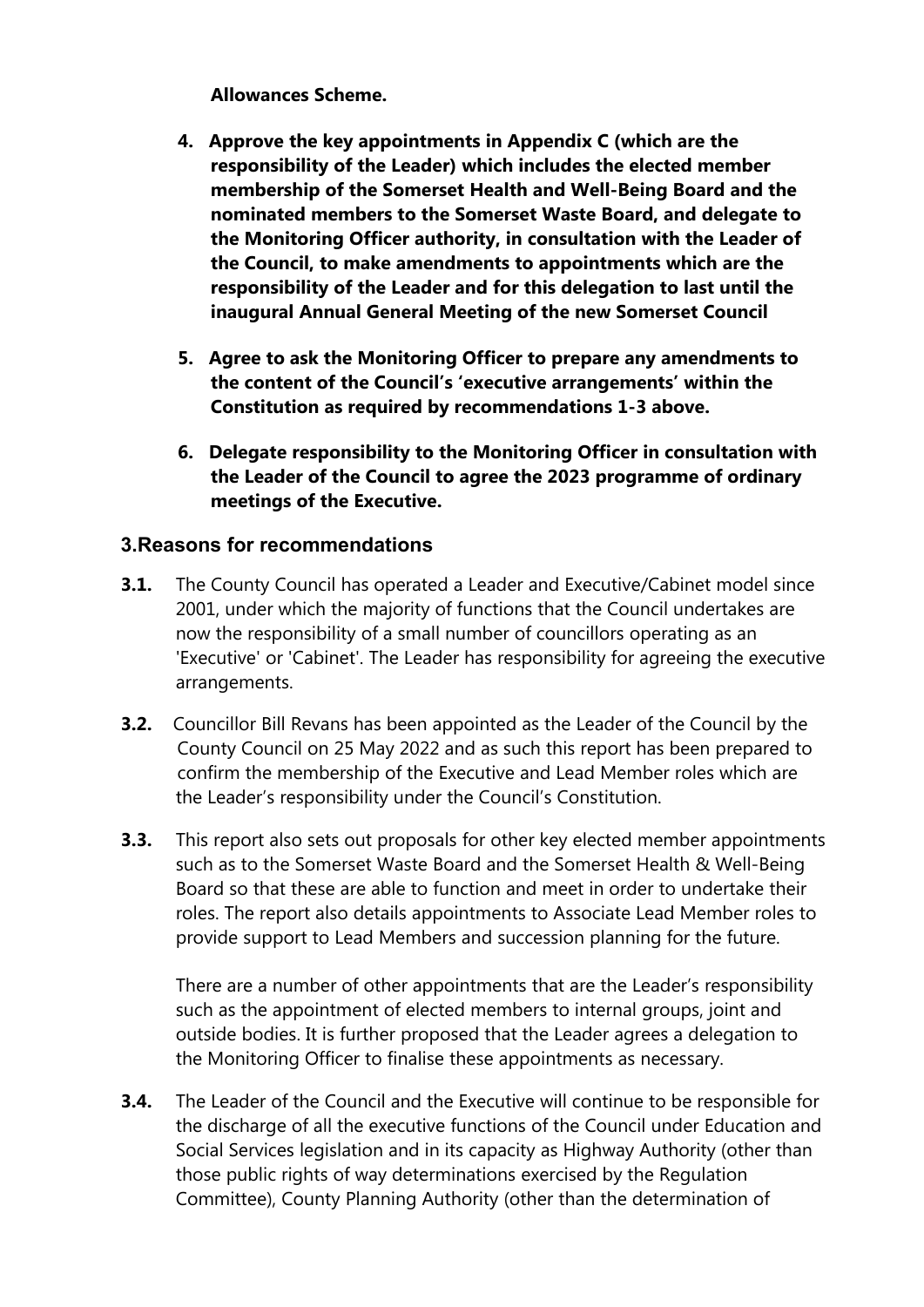**Allowances Scheme.**

- **4. Approve the key appointments in Appendix C (which are the responsibility of the Leader) which includes the elected member membership of the Somerset Health and Well-Being Board and the nominated members to the Somerset Waste Board, and delegate to the Monitoring Officer authority, in consultation with the Leader of the Council, to make amendments to appointments which are the responsibility of the Leader and for this delegation to last until the inaugural Annual General Meeting of the new Somerset Council**
- **5. Agree to ask the Monitoring Officer to prepare any amendments to the content of the Council's 'executive arrangements' within the Constitution as required by recommendations 1-3 above.**
- **6. Delegate responsibility to the Monitoring Officer in consultation with the Leader of the Council to agree the 2023 programme of ordinary meetings of the Executive.**

## **3.Reasons for recommendations**

- **3.1.** The County Council has operated a Leader and Executive/Cabinet model since 2001, under which the majority of functions that the Council undertakes are now the responsibility of a small number of councillors operating as an 'Executive' or 'Cabinet'. The Leader has responsibility for agreeing the executive arrangements.
- **3.2.** Councillor Bill Revans has been appointed as the Leader of the Council by the County Council on 25 May 2022 and as such this report has been prepared to confirm the membership of the Executive and Lead Member roles which are the Leader's responsibility under the Council's Constitution.
- **3.3.** This report also sets out proposals for other key elected member appointments such as to the Somerset Waste Board and the Somerset Health & Well-Being Board so that these are able to function and meet in order to undertake their roles. The report also details appointments to Associate Lead Member roles to provide support to Lead Members and succession planning for the future.

There are a number of other appointments that are the Leader's responsibility such as the appointment of elected members to internal groups, joint and outside bodies. It is further proposed that the Leader agrees a delegation to the Monitoring Officer to finalise these appointments as necessary.

**3.4.** The Leader of the Council and the Executive will continue to be responsible for the discharge of all the executive functions of the Council under Education and Social Services legislation and in its capacity as Highway Authority (other than those public rights of way determinations exercised by the Regulation Committee), County Planning Authority (other than the determination of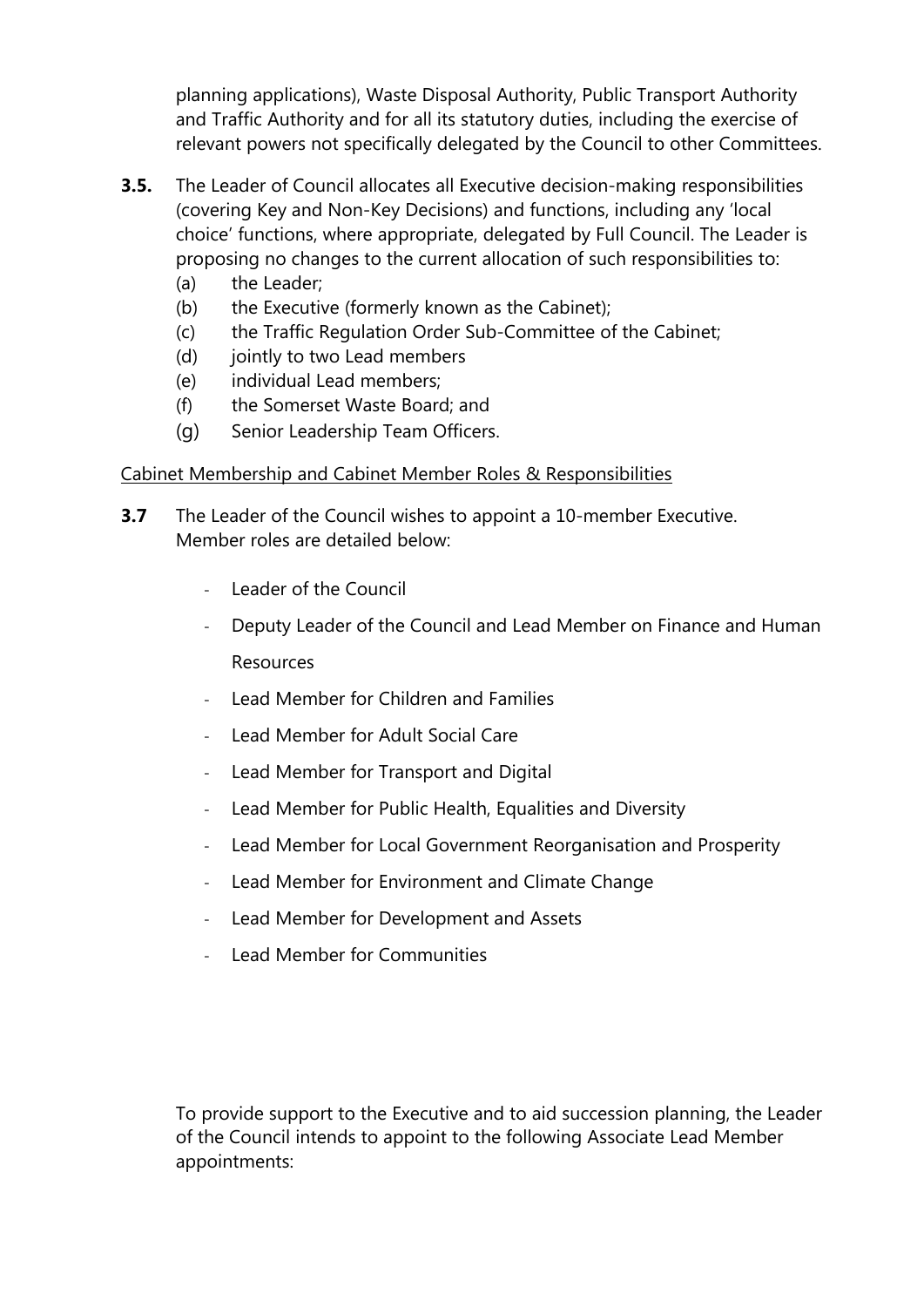planning applications), Waste Disposal Authority, Public Transport Authority and Traffic Authority and for all its statutory duties, including the exercise of relevant powers not specifically delegated by the Council to other Committees.

- **3.5.** The Leader of Council allocates all Executive decision-making responsibilities (covering Key and Non-Key Decisions) and functions, including any 'local choice' functions, where appropriate, delegated by Full Council. The Leader is proposing no changes to the current allocation of such responsibilities to:
	- (a) the Leader;
	- (b) the Executive (formerly known as the Cabinet);
	- (c) the Traffic Regulation Order Sub-Committee of the Cabinet;
	- (d) jointly to two Lead members
	- (e) individual Lead members;
	- (f) the Somerset Waste Board; and
	- (g) Senior Leadership Team Officers.

## Cabinet Membership and Cabinet Member Roles & Responsibilities

- **3.7** The Leader of the Council wishes to appoint a 10-member Executive. Member roles are detailed below:
	- Leader of the Council
	- Deputy Leader of the Council and Lead Member on Finance and Human Resources
	- Lead Member for Children and Families
	- Lead Member for Adult Social Care
	- Lead Member for Transport and Digital
	- Lead Member for Public Health, Equalities and Diversity
	- Lead Member for Local Government Reorganisation and Prosperity
	- Lead Member for Environment and Climate Change
	- Lead Member for Development and Assets
	- Lead Member for Communities

To provide support to the Executive and to aid succession planning, the Leader of the Council intends to appoint to the following Associate Lead Member appointments: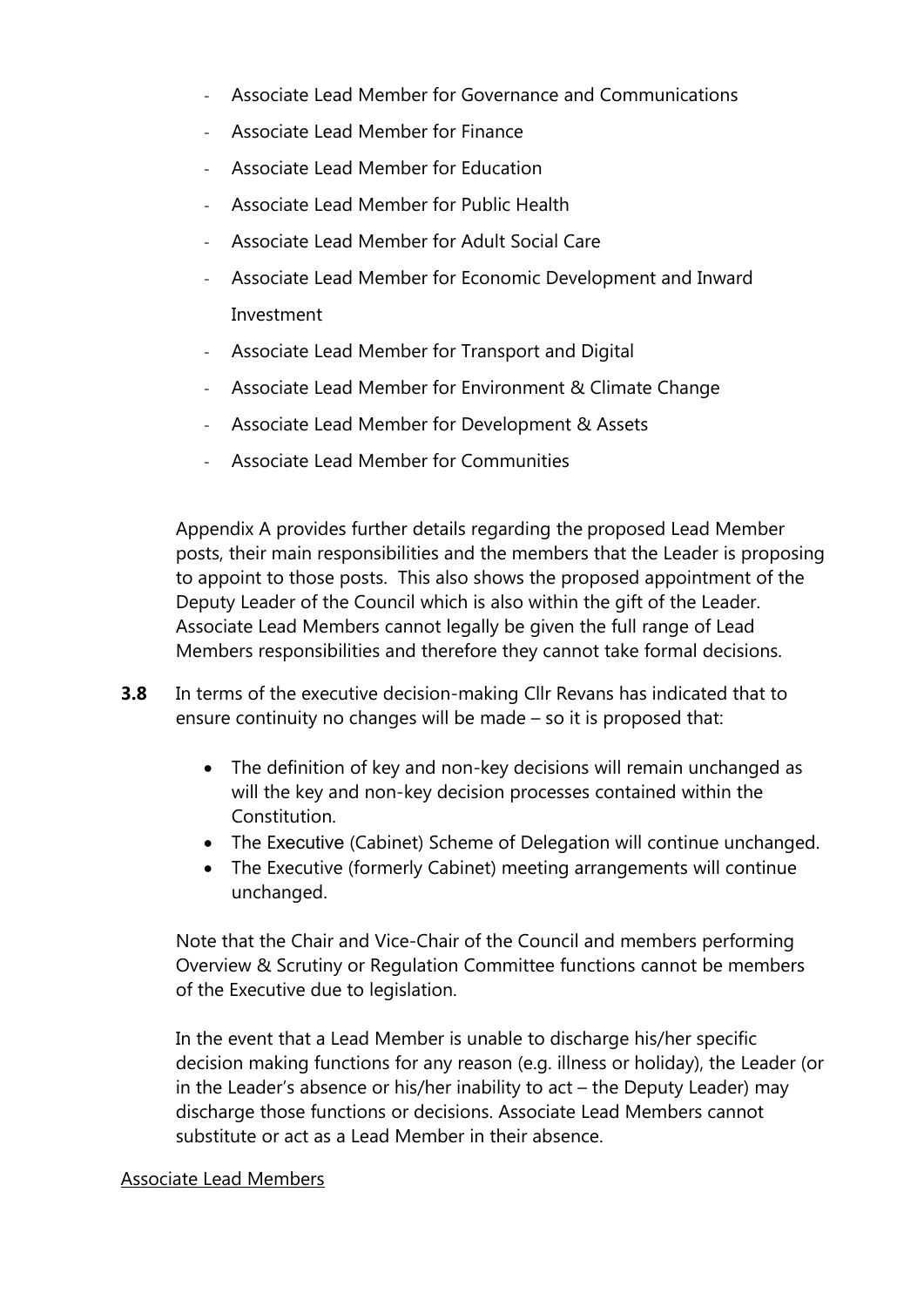- Associate Lead Member for Governance and Communications
- Associate Lead Member for Finance
- Associate Lead Member for Education
- Associate Lead Member for Public Health
- Associate Lead Member for Adult Social Care
- Associate Lead Member for Economic Development and Inward Investment
- Associate Lead Member for Transport and Digital
- Associate Lead Member for Environment & Climate Change
- Associate Lead Member for Development & Assets
- Associate Lead Member for Communities

Appendix A provides further details regarding the proposed Lead Member posts, their main responsibilities and the members that the Leader is proposing to appoint to those posts. This also shows the proposed appointment of the Deputy Leader of the Council which is also within the gift of the Leader. Associate Lead Members cannot legally be given the full range of Lead Members responsibilities and therefore they cannot take formal decisions.

- **3.8** In terms of the executive decision-making Cllr Revans has indicated that to ensure continuity no changes will be made – so it is proposed that:
	- The definition of key and non-key decisions will remain unchanged as will the key and non-key decision processes contained within the Constitution.
	- The Executive (Cabinet) Scheme of Delegation will continue unchanged.
	- The Executive (formerly Cabinet) meeting arrangements will continue unchanged.

Note that the Chair and Vice-Chair of the Council and members performing Overview & Scrutiny or Regulation Committee functions cannot be members of the Executive due to legislation.

In the event that a Lead Member is unable to discharge his/her specific decision making functions for any reason (e.g. illness or holiday), the Leader (or in the Leader's absence or his/her inability to act – the Deputy Leader) may discharge those functions or decisions. Associate Lead Members cannot substitute or act as a Lead Member in their absence.

#### Associate Lead Members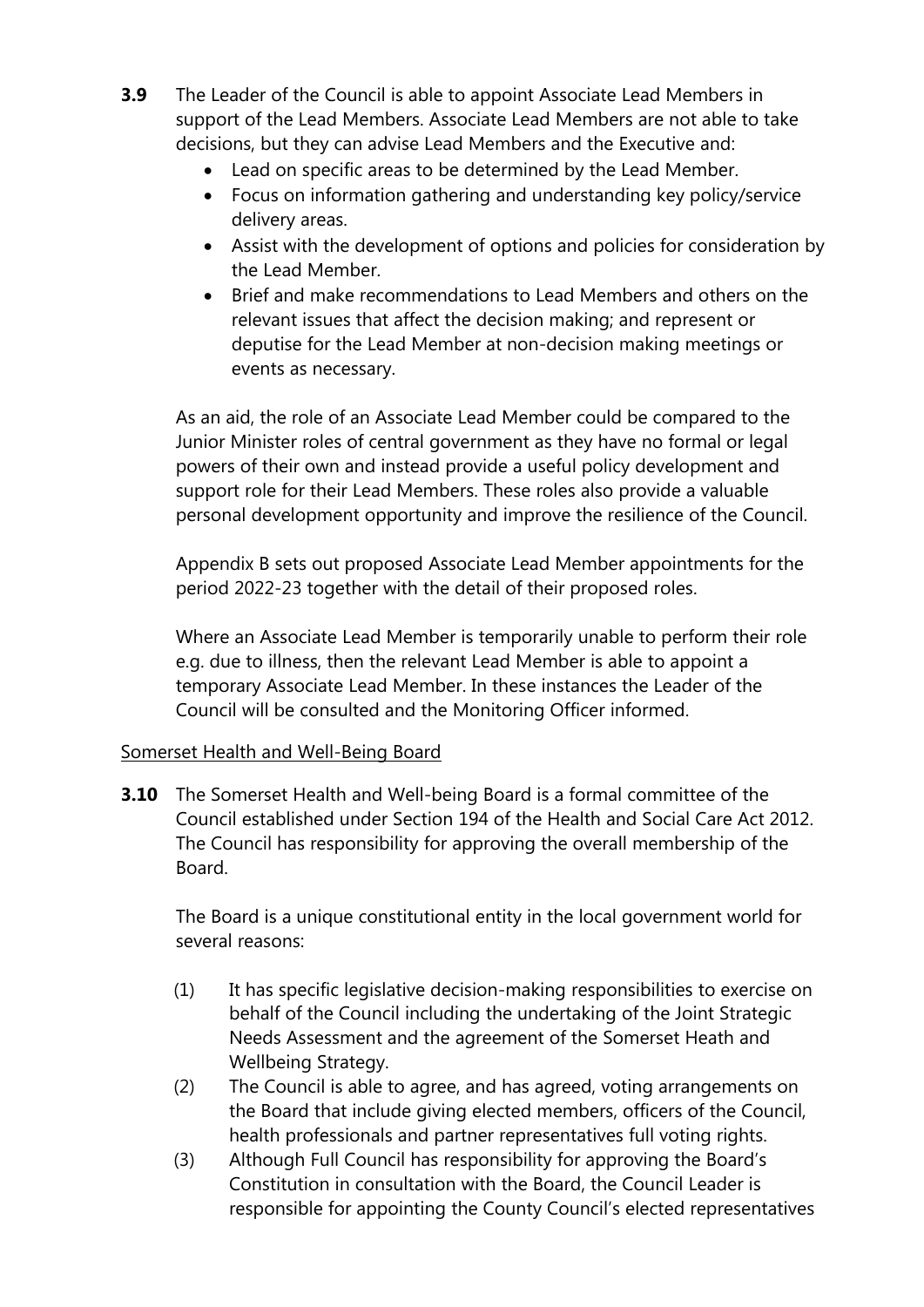- **3.9** The Leader of the Council is able to appoint Associate Lead Members in support of the Lead Members. Associate Lead Members are not able to take decisions, but they can advise Lead Members and the Executive and:
	- Lead on specific areas to be determined by the Lead Member.
	- Focus on information gathering and understanding key policy/service delivery areas.
	- Assist with the development of options and policies for consideration by the Lead Member.
	- Brief and make recommendations to Lead Members and others on the relevant issues that affect the decision making; and represent or deputise for the Lead Member at non-decision making meetings or events as necessary.

As an aid, the role of an Associate Lead Member could be compared to the Junior Minister roles of central government as they have no formal or legal powers of their own and instead provide a useful policy development and support role for their Lead Members. These roles also provide a valuable personal development opportunity and improve the resilience of the Council.

Appendix B sets out proposed Associate Lead Member appointments for the period 2022-23 together with the detail of their proposed roles.

Where an Associate Lead Member is temporarily unable to perform their role e.g. due to illness, then the relevant Lead Member is able to appoint a temporary Associate Lead Member. In these instances the Leader of the Council will be consulted and the Monitoring Officer informed.

## Somerset Health and Well-Being Board

**3.10** The Somerset Health and Well-being Board is a formal committee of the Council established under Section 194 of the Health and Social Care Act 2012. The Council has responsibility for approving the overall membership of the Board.

The Board is a unique constitutional entity in the local government world for several reasons:

- (1) It has specific legislative decision-making responsibilities to exercise on behalf of the Council including the undertaking of the Joint Strategic Needs Assessment and the agreement of the Somerset Heath and Wellbeing Strategy.
- (2) The Council is able to agree, and has agreed, voting arrangements on the Board that include giving elected members, officers of the Council, health professionals and partner representatives full voting rights.
- (3) Although Full Council has responsibility for approving the Board's Constitution in consultation with the Board, the Council Leader is responsible for appointing the County Council's elected representatives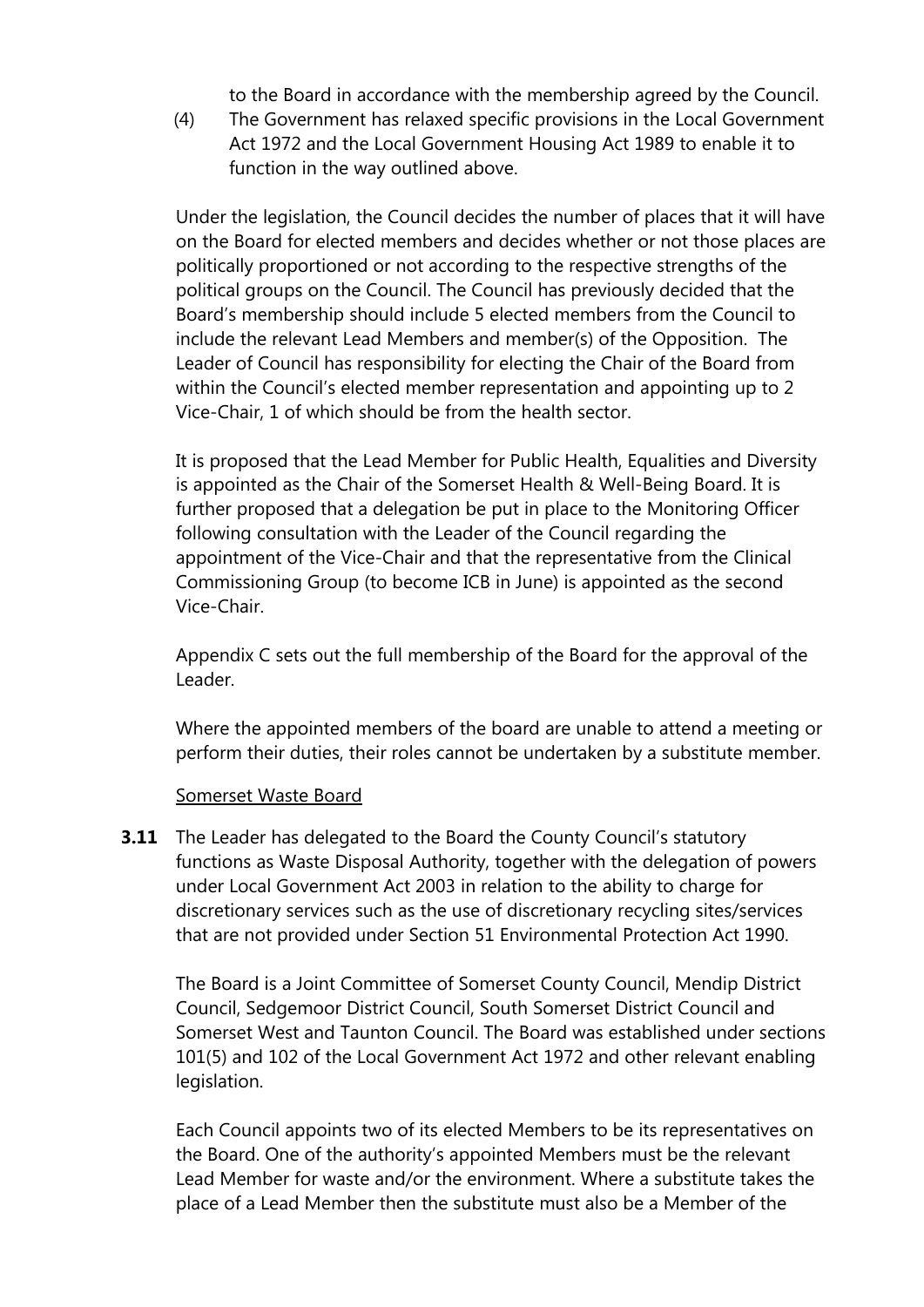to the Board in accordance with the membership agreed by the Council.

(4) The Government has relaxed specific provisions in the Local Government Act 1972 and the Local Government Housing Act 1989 to enable it to function in the way outlined above.

Under the legislation, the Council decides the number of places that it will have on the Board for elected members and decides whether or not those places are politically proportioned or not according to the respective strengths of the political groups on the Council. The Council has previously decided that the Board's membership should include 5 elected members from the Council to include the relevant Lead Members and member(s) of the Opposition. The Leader of Council has responsibility for electing the Chair of the Board from within the Council's elected member representation and appointing up to 2 Vice-Chair, 1 of which should be from the health sector.

It is proposed that the Lead Member for Public Health, Equalities and Diversity is appointed as the Chair of the Somerset Health & Well-Being Board. It is further proposed that a delegation be put in place to the Monitoring Officer following consultation with the Leader of the Council regarding the appointment of the Vice-Chair and that the representative from the Clinical Commissioning Group (to become ICB in June) is appointed as the second Vice-Chair.

Appendix C sets out the full membership of the Board for the approval of the Leader.

Where the appointed members of the board are unable to attend a meeting or perform their duties, their roles cannot be undertaken by a substitute member.

#### Somerset Waste Board

**3.11** The Leader has delegated to the Board the County Council's statutory functions as Waste Disposal Authority, together with the delegation of powers under Local Government Act 2003 in relation to the ability to charge for discretionary services such as the use of discretionary recycling sites/services that are not provided under Section 51 Environmental Protection Act 1990.

The Board is a Joint Committee of Somerset County Council, Mendip District Council, Sedgemoor District Council, South Somerset District Council and Somerset West and Taunton Council. The Board was established under sections 101(5) and 102 of the Local Government Act 1972 and other relevant enabling legislation.

Each Council appoints two of its elected Members to be its representatives on the Board. One of the authority's appointed Members must be the relevant Lead Member for waste and/or the environment. Where a substitute takes the place of a Lead Member then the substitute must also be a Member of the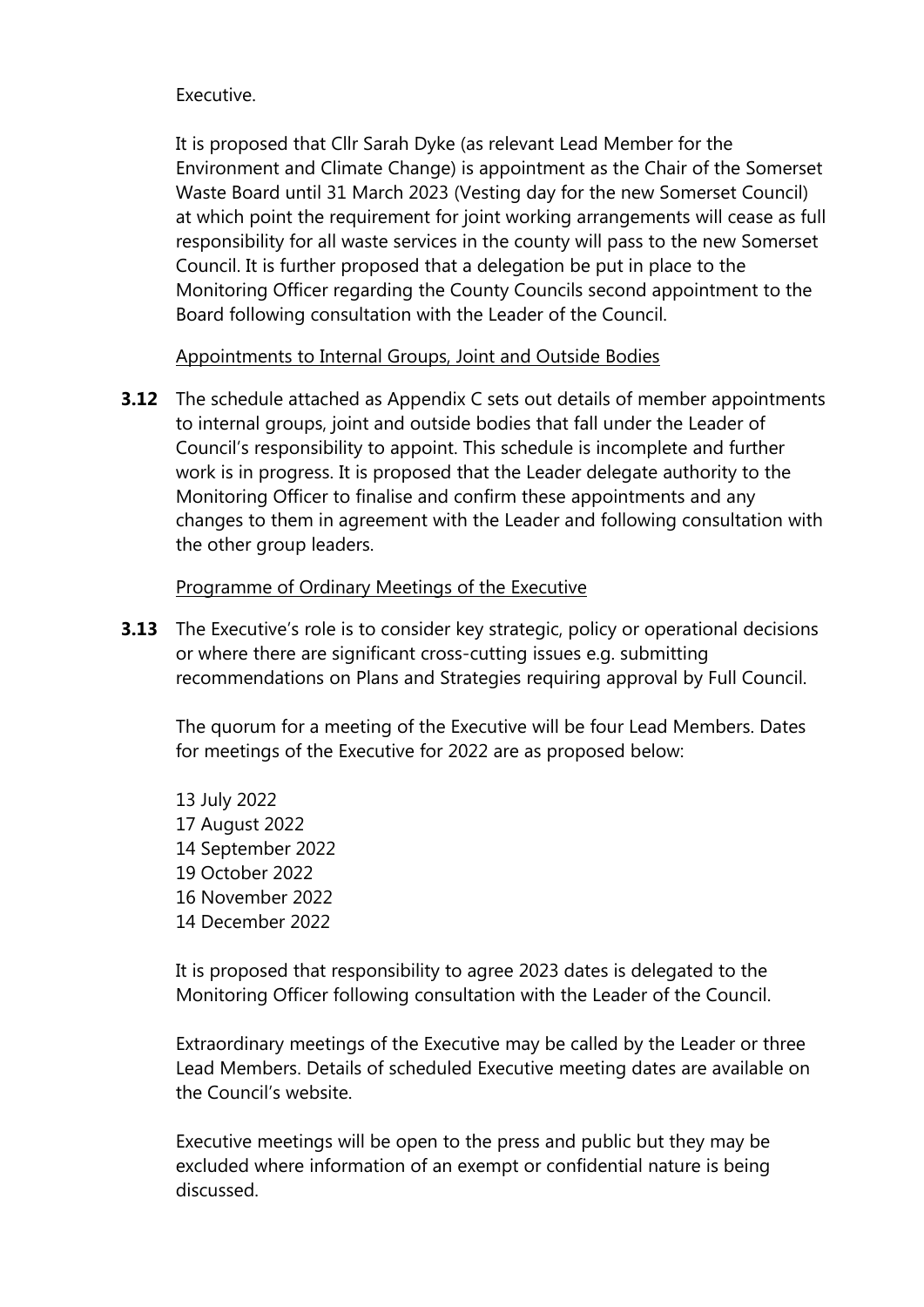#### Executive.

It is proposed that Cllr Sarah Dyke (as relevant Lead Member for the Environment and Climate Change) is appointment as the Chair of the Somerset Waste Board until 31 March 2023 (Vesting day for the new Somerset Council) at which point the requirement for joint working arrangements will cease as full responsibility for all waste services in the county will pass to the new Somerset Council. It is further proposed that a delegation be put in place to the Monitoring Officer regarding the County Councils second appointment to the Board following consultation with the Leader of the Council.

Appointments to Internal Groups, Joint and Outside Bodies

**3.12** The schedule attached as Appendix C sets out details of member appointments to internal groups, joint and outside bodies that fall under the Leader of Council's responsibility to appoint. This schedule is incomplete and further work is in progress. It is proposed that the Leader delegate authority to the Monitoring Officer to finalise and confirm these appointments and any changes to them in agreement with the Leader and following consultation with the other group leaders.

#### Programme of Ordinary Meetings of the Executive

**3.13** The Executive's role is to consider key strategic, policy or operational decisions or where there are significant cross-cutting issues e.g. submitting recommendations on Plans and Strategies requiring approval by Full Council.

The quorum for a meeting of the Executive will be four Lead Members. Dates for meetings of the Executive for 2022 are as proposed below:

 July 2022 August 2022 September 2022 October 2022 November 2022 December 2022

It is proposed that responsibility to agree 2023 dates is delegated to the Monitoring Officer following consultation with the Leader of the Council.

Extraordinary meetings of the Executive may be called by the Leader or three Lead Members. Details of scheduled Executive meeting dates are available on the Council's website.

Executive meetings will be open to the press and public but they may be excluded where information of an exempt or confidential nature is being discussed.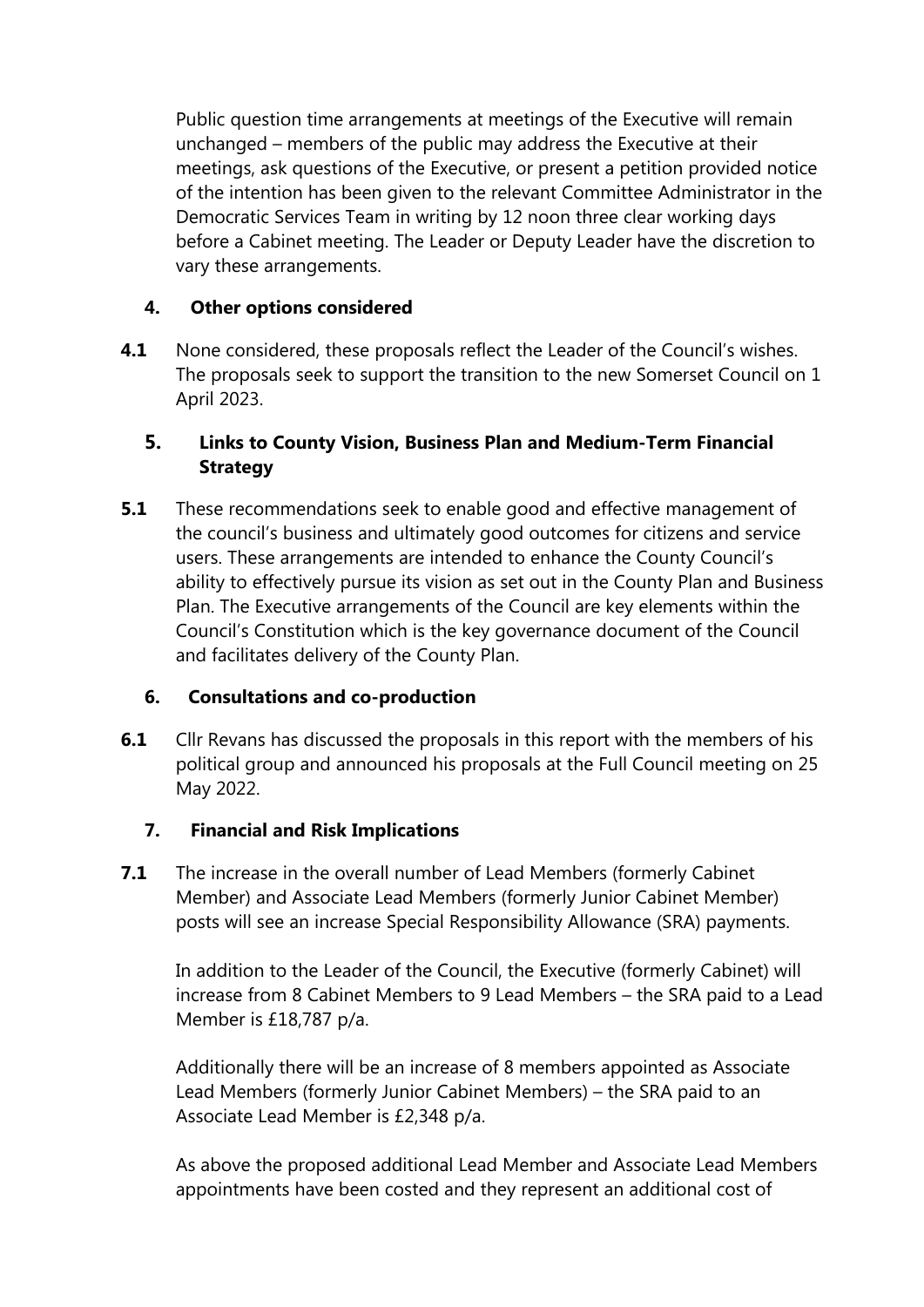Public question time arrangements at meetings of the Executive will remain unchanged – members of the public may address the Executive at their meetings, ask questions of the Executive, or present a petition provided notice of the intention has been given to the relevant Committee Administrator in the Democratic Services Team in writing by 12 noon three clear working days before a Cabinet meeting. The Leader or Deputy Leader have the discretion to vary these arrangements.

## **4. Other options considered**

**4.1** None considered, these proposals reflect the Leader of the Council's wishes. The proposals seek to support the transition to the new Somerset Council on 1 April 2023.

## **5. Links to County Vision, Business Plan and Medium-Term Financial Strategy**

**5.1** These recommendations seek to enable good and effective management of the council's business and ultimately good outcomes for citizens and service users. These arrangements are intended to enhance the County Council's ability to effectively pursue its vision as set out in the County Plan and Business Plan. The Executive arrangements of the Council are key elements within the Council's Constitution which is the key governance document of the Council and facilitates delivery of the County Plan.

#### **6. Consultations and co-production**

**6.1** Cllr Revans has discussed the proposals in this report with the members of his political group and announced his proposals at the Full Council meeting on 25 May 2022.

## **7. Financial and Risk Implications**

**7.1** The increase in the overall number of Lead Members (formerly Cabinet Member) and Associate Lead Members (formerly Junior Cabinet Member) posts will see an increase Special Responsibility Allowance (SRA) payments.

In addition to the Leader of the Council, the Executive (formerly Cabinet) will increase from 8 Cabinet Members to 9 Lead Members – the SRA paid to a Lead Member is £18,787 p/a.

Additionally there will be an increase of 8 members appointed as Associate Lead Members (formerly Junior Cabinet Members) – the SRA paid to an Associate Lead Member is £2,348 p/a.

As above the proposed additional Lead Member and Associate Lead Members appointments have been costed and they represent an additional cost of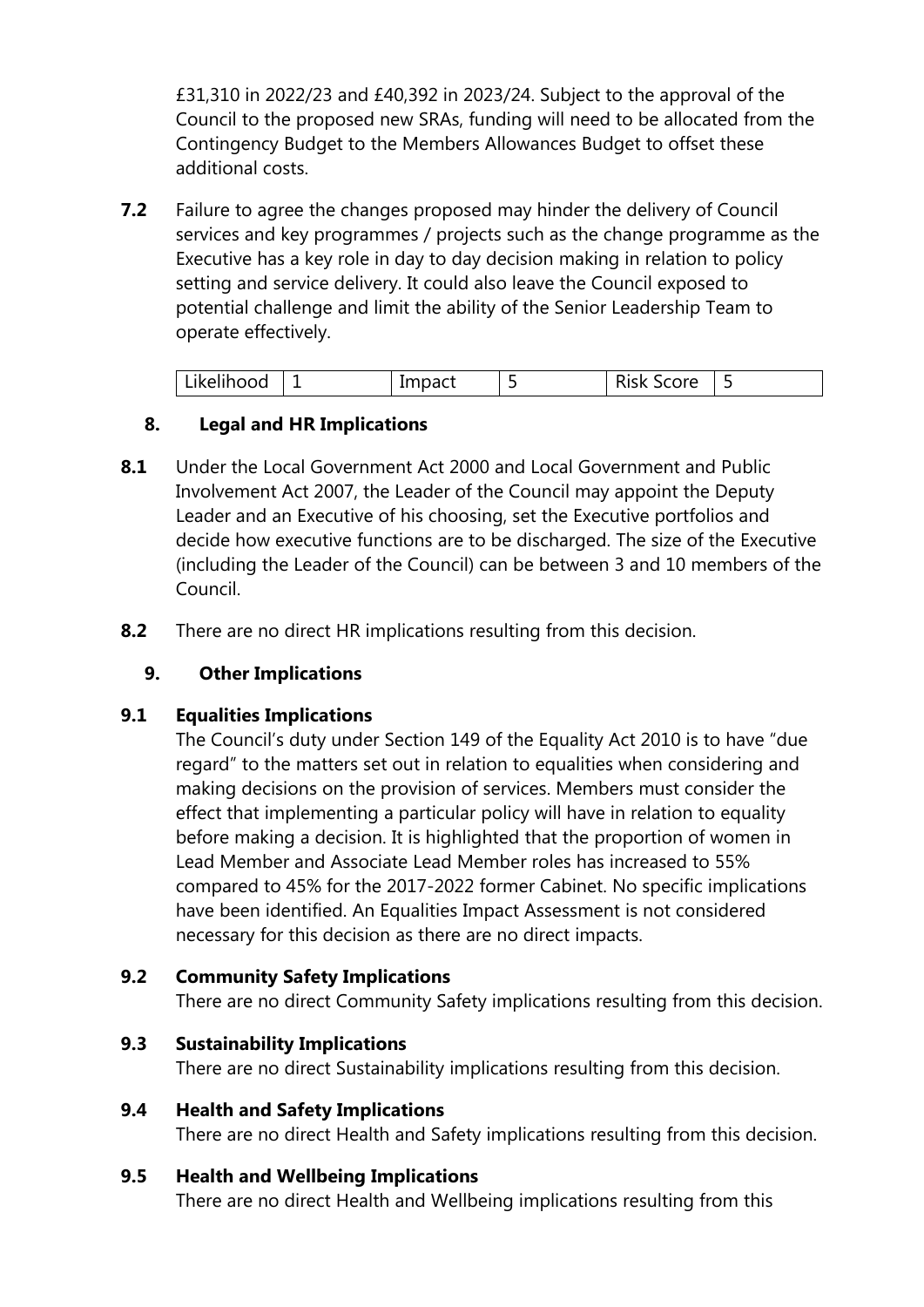£31,310 in 2022/23 and £40,392 in 2023/24. Subject to the approval of the Council to the proposed new SRAs, funding will need to be allocated from the Contingency Budget to the Members Allowances Budget to offset these additional costs.

**7.2** Failure to agree the changes proposed may hinder the delivery of Council services and key programmes / projects such as the change programme as the Executive has a key role in day to day decision making in relation to policy setting and service delivery. It could also leave the Council exposed to potential challenge and limit the ability of the Senior Leadership Team to operate effectively.

| ˈ Likelihood | $1 - 2 - 1$<br><b>IIIIDACL</b> | $\sim$<br>NISK SCOTE |  |
|--------------|--------------------------------|----------------------|--|

## **8. Legal and HR Implications**

- **8.1** Under the Local Government Act 2000 and Local Government and Public Involvement Act 2007, the Leader of the Council may appoint the Deputy Leader and an Executive of his choosing, set the Executive portfolios and decide how executive functions are to be discharged. The size of the Executive (including the Leader of the Council) can be between 3 and 10 members of the Council.
- **8.2** There are no direct HR implications resulting from this decision.

#### **9. Other Implications**

#### **9.1 Equalities Implications**

The Council's duty under Section 149 of the Equality Act 2010 is to have "due regard" to the matters set out in relation to equalities when considering and making decisions on the provision of services. Members must consider the effect that implementing a particular policy will have in relation to equality before making a decision. It is highlighted that the proportion of women in Lead Member and Associate Lead Member roles has increased to 55% compared to 45% for the 2017-2022 former Cabinet. No specific implications have been identified. An Equalities Impact Assessment is not considered necessary for this decision as there are no direct impacts.

#### **9.2 Community Safety Implications**

There are no direct Community Safety implications resulting from this decision.

## **9.3 Sustainability Implications**

There are no direct Sustainability implications resulting from this decision.

#### **9.4 Health and Safety Implications**

There are no direct Health and Safety implications resulting from this decision.

#### **9.5 Health and Wellbeing Implications**

There are no direct Health and Wellbeing implications resulting from this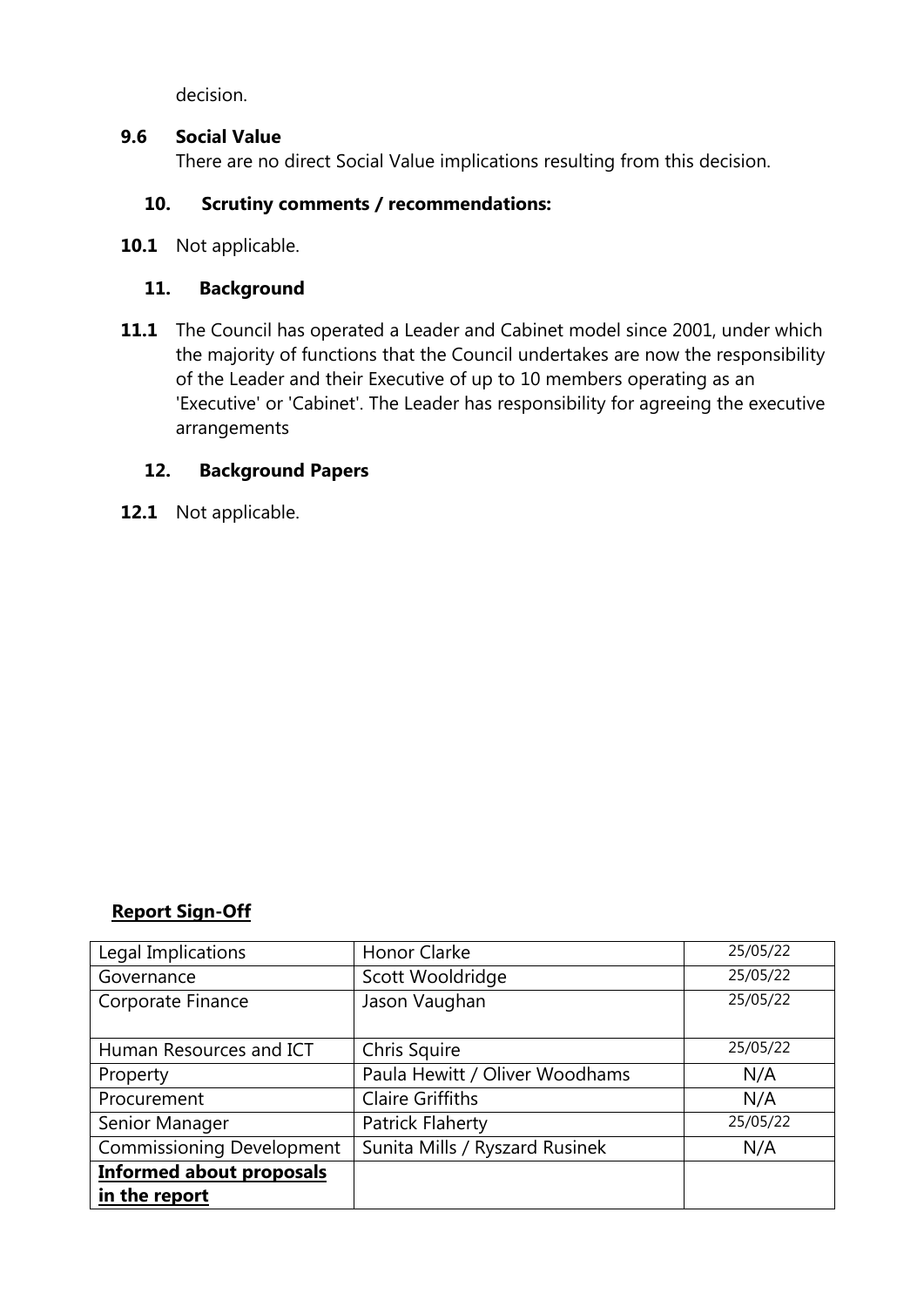decision.

#### **9.6 Social Value**

There are no direct Social Value implications resulting from this decision.

## **10. Scrutiny comments / recommendations:**

**10.1** Not applicable.

### **11. Background**

**11.1** The Council has operated a Leader and Cabinet model since 2001, under which the majority of functions that the Council undertakes are now the responsibility of the Leader and their Executive of up to 10 members operating as an 'Executive' or 'Cabinet'. The Leader has responsibility for agreeing the executive arrangements

## **12. Background Papers**

**12.1** Not applicable.

## **Report Sign-Off**

| Legal Implications               | Honor Clarke                   | 25/05/22 |
|----------------------------------|--------------------------------|----------|
| Governance                       | Scott Wooldridge               | 25/05/22 |
| Corporate Finance                | Jason Vaughan                  | 25/05/22 |
|                                  |                                |          |
| Human Resources and ICT          | Chris Squire                   | 25/05/22 |
| Property                         | Paula Hewitt / Oliver Woodhams | N/A      |
| Procurement                      | <b>Claire Griffiths</b>        | N/A      |
| Senior Manager                   | <b>Patrick Flaherty</b>        | 25/05/22 |
| <b>Commissioning Development</b> | Sunita Mills / Ryszard Rusinek | N/A      |
| <b>Informed about proposals</b>  |                                |          |
| in the report                    |                                |          |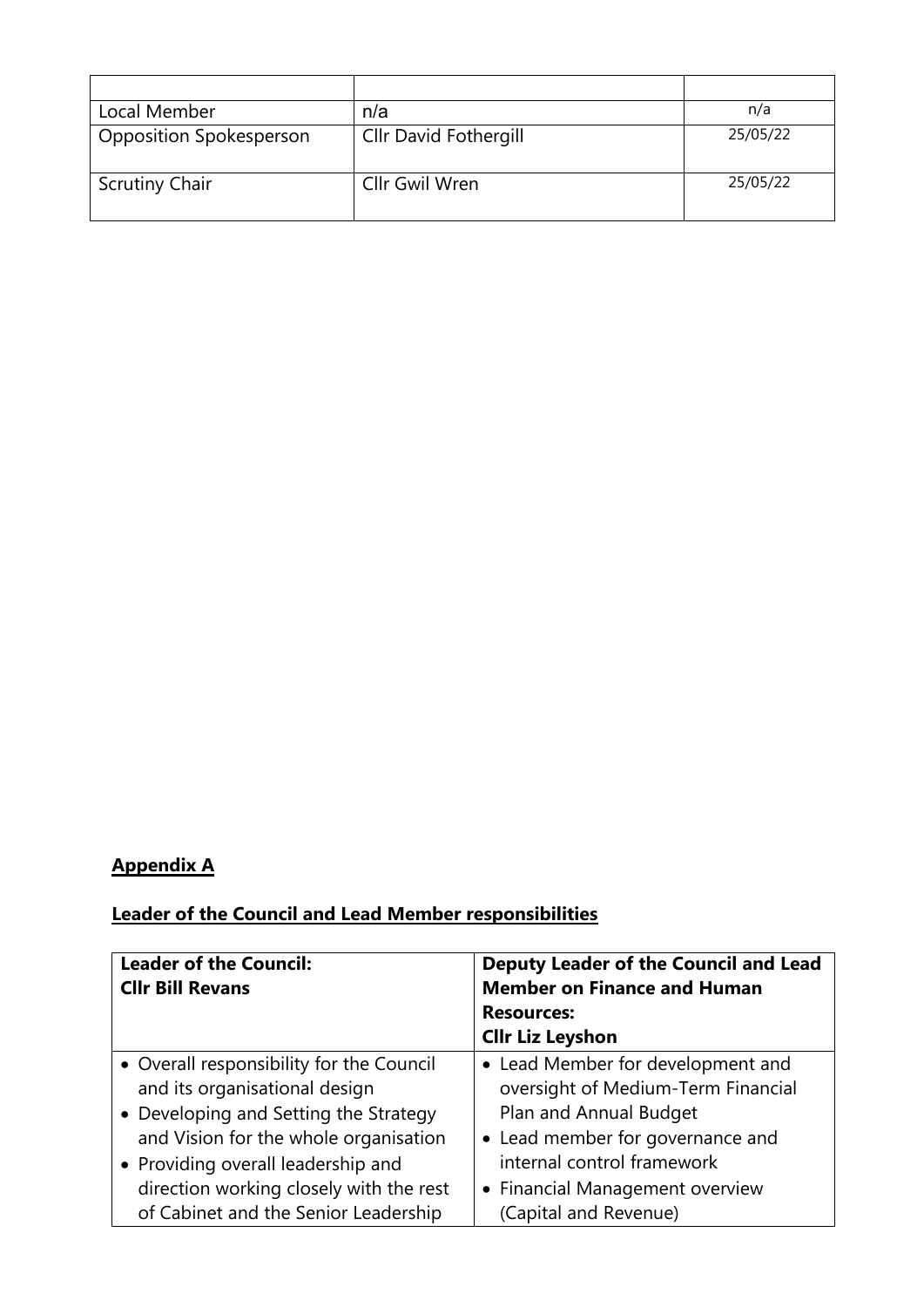| Local Member                   | n/a                          | n/a      |
|--------------------------------|------------------------------|----------|
| <b>Opposition Spokesperson</b> | <b>Cllr David Fothergill</b> | 25/05/22 |
| <b>Scrutiny Chair</b>          | Cllr Gwil Wren               | 25/05/22 |

# **Appendix A**

# **Leader of the Council and Lead Member responsibilities**

| <b>Leader of the Council:</b><br><b>Cllr Bill Revans</b> | Deputy Leader of the Council and Lead<br><b>Member on Finance and Human</b> |
|----------------------------------------------------------|-----------------------------------------------------------------------------|
|                                                          | <b>Resources:</b><br><b>Cllr Liz Leyshon</b>                                |
|                                                          |                                                                             |
| • Overall responsibility for the Council                 | • Lead Member for development and                                           |
| and its organisational design                            | oversight of Medium-Term Financial                                          |
| • Developing and Setting the Strategy                    | Plan and Annual Budget                                                      |
| and Vision for the whole organisation                    | • Lead member for governance and                                            |
| • Providing overall leadership and                       | internal control framework                                                  |
| direction working closely with the rest                  | • Financial Management overview                                             |
| of Cabinet and the Senior Leadership                     | (Capital and Revenue)                                                       |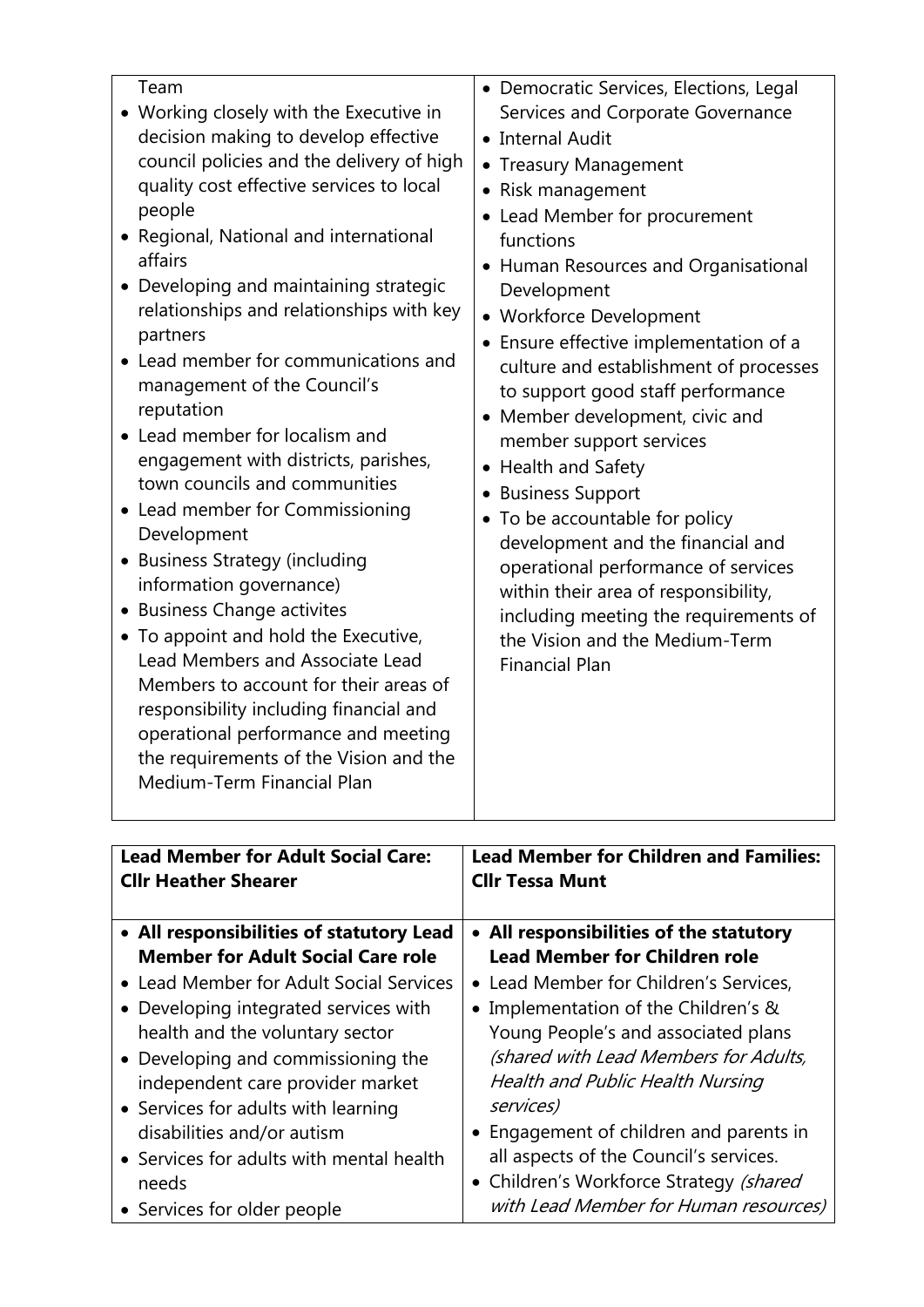| <b>Lead Member for Adult Social Care:</b> | <b>Lead Member for Children and Families:</b> |
|-------------------------------------------|-----------------------------------------------|
| <b>Cllr Heather Shearer</b>               | <b>Cllr Tessa Munt</b>                        |
| • All responsibilities of statutory Lead  | • All responsibilities of the statutory       |
| <b>Member for Adult Social Care role</b>  | <b>Lead Member for Children role</b>          |
| • Lead Member for Adult Social Services   | • Lead Member for Children's Services,        |
| • Developing integrated services with     | • Implementation of the Children's &          |
| health and the voluntary sector           | Young People's and associated plans           |
| • Developing and commissioning the        | (shared with Lead Members for Adults,         |
| independent care provider market          | <b>Health and Public Health Nursing</b>       |
| • Services for adults with learning       | services)                                     |
| disabilities and/or autism                | • Engagement of children and parents in       |
| • Services for adults with mental health  | all aspects of the Council's services.        |
| needs                                     | • Children's Workforce Strategy (shared       |
| • Services for older people               | with Lead Member for Human resources)         |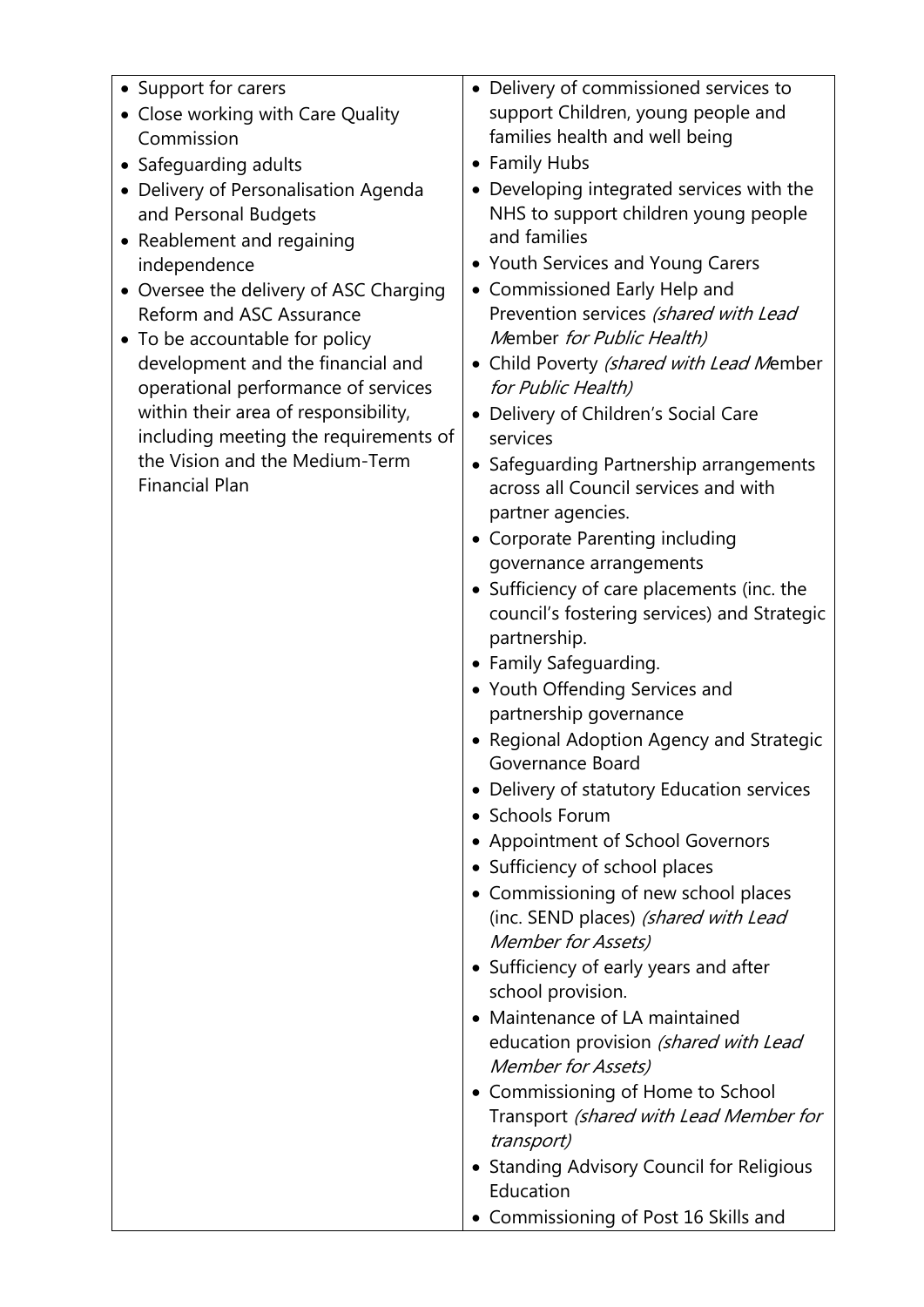| • Support for carers<br>• Close working with Care Quality<br>Commission<br>• Safeguarding adults<br>Delivery of Personalisation Agenda<br>$\bullet$<br>and Personal Budgets<br>• Reablement and regaining<br>independence<br>• Oversee the delivery of ASC Charging<br>Reform and ASC Assurance<br>To be accountable for policy<br>$\bullet$<br>development and the financial and<br>operational performance of services<br>within their area of responsibility,<br>including meeting the requirements of<br>the Vision and the Medium-Term<br><b>Financial Plan</b> | Delivery of commissioned services to<br>$\bullet$<br>support Children, young people and<br>families health and well being<br><b>Family Hubs</b><br>Developing integrated services with the<br>NHS to support children young people<br>and families<br>• Youth Services and Young Carers<br>• Commissioned Early Help and<br>Prevention services (shared with Lead<br>Member for Public Health)<br>Child Poverty (shared with Lead Member<br>for Public Health)<br>Delivery of Children's Social Care<br>services<br>• Safeguarding Partnership arrangements<br>across all Council services and with<br>partner agencies.<br>• Corporate Parenting including<br>governance arrangements<br>• Sufficiency of care placements (inc. the<br>council's fostering services) and Strategic<br>partnership.<br>• Family Safeguarding.<br>• Youth Offending Services and<br>partnership governance<br>• Regional Adoption Agency and Strategic<br>Governance Board<br>• Delivery of statutory Education services<br>• Schools Forum<br>• Appointment of School Governors<br>• Sufficiency of school places<br>• Commissioning of new school places<br>(inc. SEND places) (shared with Lead<br><b>Member for Assets)</b><br>• Sufficiency of early years and after<br>school provision.<br>Maintenance of LA maintained<br>education provision (shared with Lead<br><b>Member for Assets)</b><br>Commissioning of Home to School<br>Transport (shared with Lead Member for<br>transport)<br><b>Standing Advisory Council for Religious</b><br>Education<br>• Commissioning of Post 16 Skills and |
|----------------------------------------------------------------------------------------------------------------------------------------------------------------------------------------------------------------------------------------------------------------------------------------------------------------------------------------------------------------------------------------------------------------------------------------------------------------------------------------------------------------------------------------------------------------------|----------------------------------------------------------------------------------------------------------------------------------------------------------------------------------------------------------------------------------------------------------------------------------------------------------------------------------------------------------------------------------------------------------------------------------------------------------------------------------------------------------------------------------------------------------------------------------------------------------------------------------------------------------------------------------------------------------------------------------------------------------------------------------------------------------------------------------------------------------------------------------------------------------------------------------------------------------------------------------------------------------------------------------------------------------------------------------------------------------------------------------------------------------------------------------------------------------------------------------------------------------------------------------------------------------------------------------------------------------------------------------------------------------------------------------------------------------------------------------------------------------------------------------------------------------------------------------------|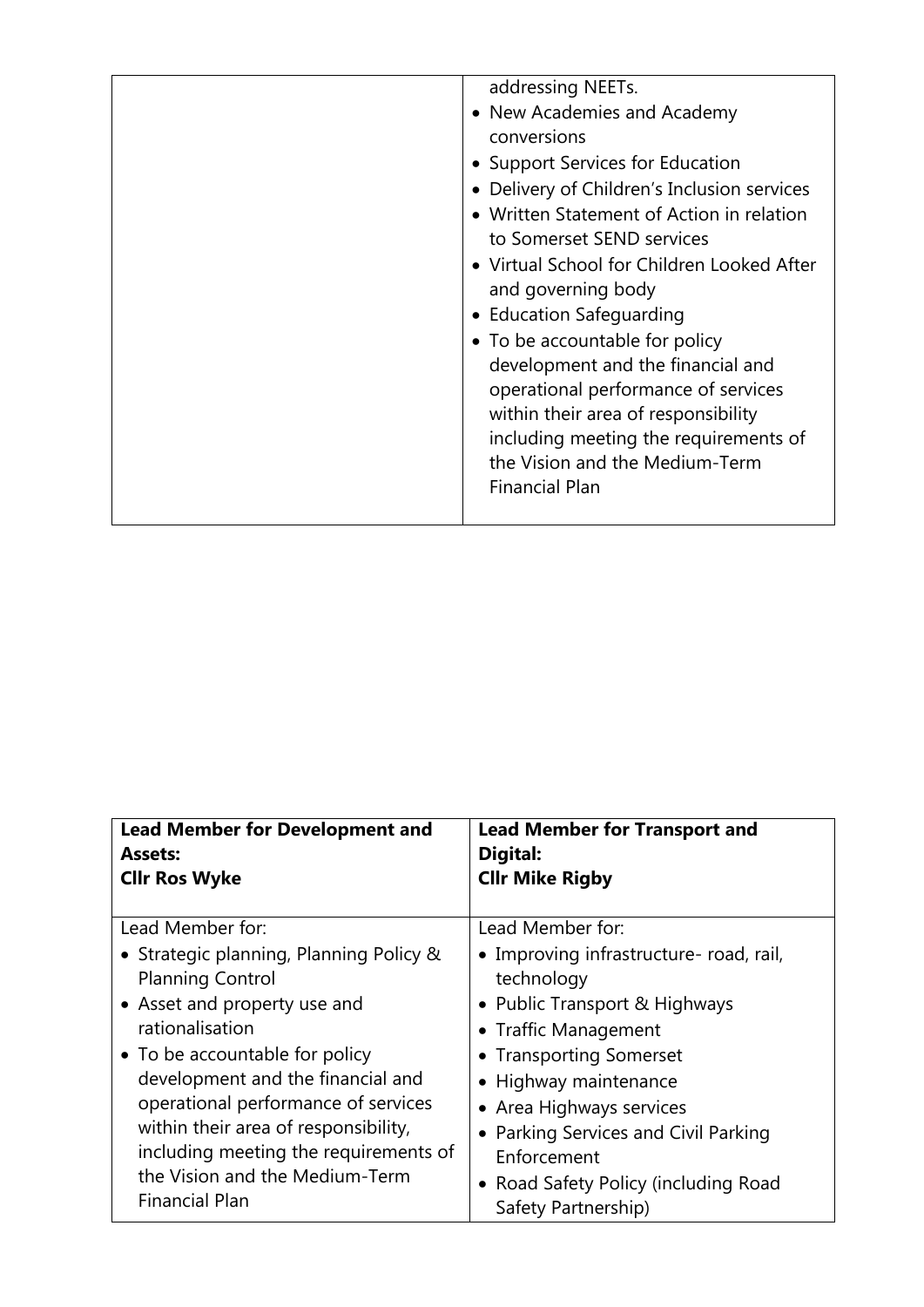| addressing NEETs.<br>• New Academies and Academy<br>conversions<br>• Support Services for Education<br>• Delivery of Children's Inclusion services<br>• Written Statement of Action in relation<br>to Somerset SEND services<br>• Virtual School for Children Looked After<br>and governing body<br>• Education Safeguarding<br>• To be accountable for policy<br>development and the financial and<br>operational performance of services<br>within their area of responsibility<br>including meeting the requirements of |
|----------------------------------------------------------------------------------------------------------------------------------------------------------------------------------------------------------------------------------------------------------------------------------------------------------------------------------------------------------------------------------------------------------------------------------------------------------------------------------------------------------------------------|
| the Vision and the Medium-Term<br><b>Financial Plan</b>                                                                                                                                                                                                                                                                                                                                                                                                                                                                    |

| <b>Lead Member for Development and</b><br><b>Assets:</b><br><b>Cllr Ros Wyke</b> | <b>Lead Member for Transport and</b><br>Digital:<br><b>Cllr Mike Rigby</b> |
|----------------------------------------------------------------------------------|----------------------------------------------------------------------------|
| Lead Member for:                                                                 | Lead Member for:                                                           |
| • Strategic planning, Planning Policy &<br><b>Planning Control</b>               | • Improving infrastructure- road, rail,<br>technology                      |
| • Asset and property use and                                                     | • Public Transport & Highways                                              |
| rationalisation                                                                  | • Traffic Management                                                       |
| • To be accountable for policy                                                   | • Transporting Somerset                                                    |
| development and the financial and                                                | • Highway maintenance                                                      |
| operational performance of services                                              | • Area Highways services                                                   |
| within their area of responsibility,                                             | • Parking Services and Civil Parking                                       |
| including meeting the requirements of                                            | Enforcement                                                                |
| the Vision and the Medium-Term<br><b>Financial Plan</b>                          | • Road Safety Policy (including Road<br>Safety Partnership)                |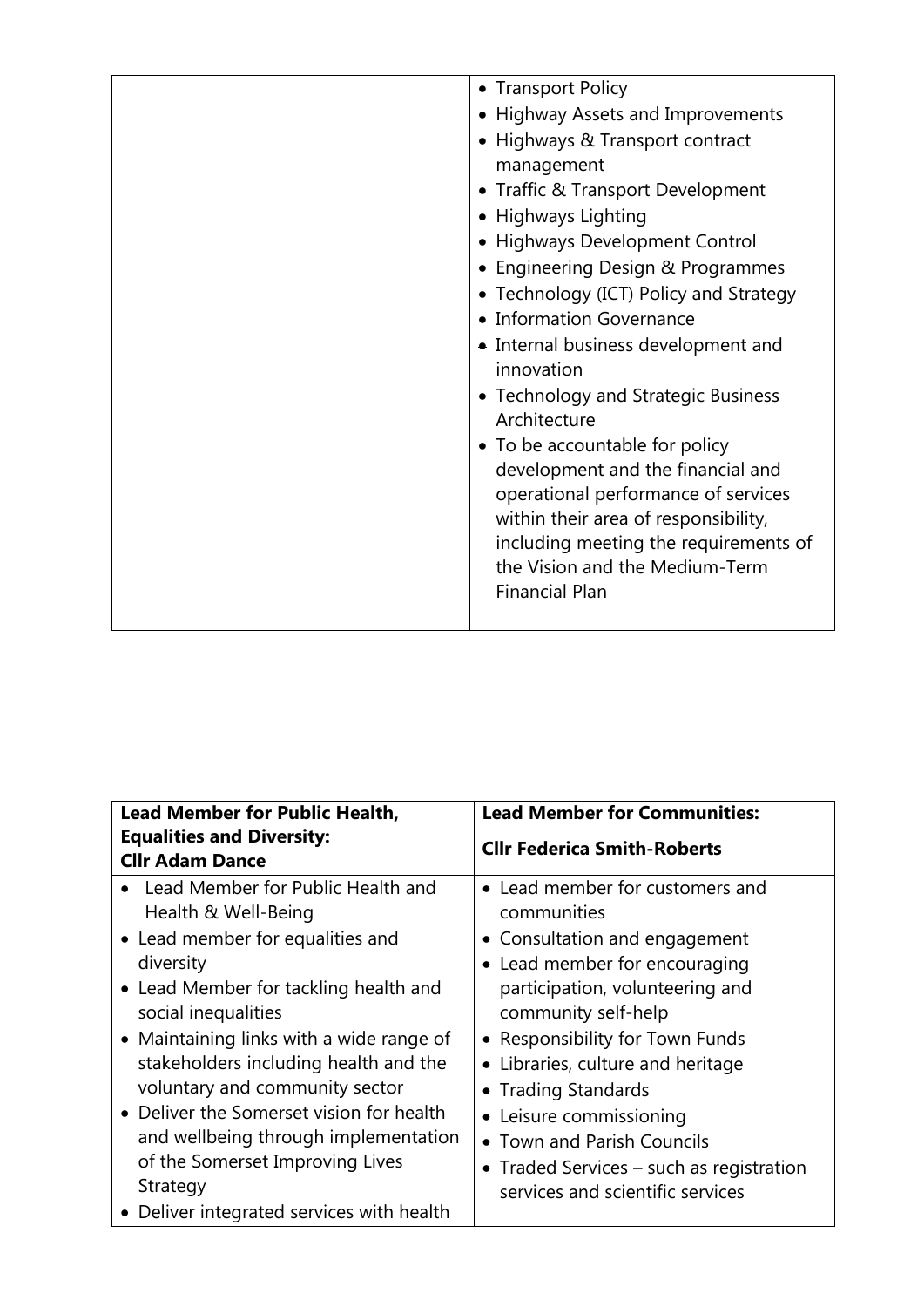| • Transport Policy                                                          |
|-----------------------------------------------------------------------------|
| • Highway Assets and Improvements                                           |
| • Highways & Transport contract                                             |
| management                                                                  |
| • Traffic & Transport Development                                           |
| • Highways Lighting                                                         |
| • Highways Development Control                                              |
| • Engineering Design & Programmes                                           |
| • Technology (ICT) Policy and Strategy                                      |
| • Information Governance                                                    |
| • Internal business development and                                         |
| innovation                                                                  |
| • Technology and Strategic Business                                         |
| Architecture                                                                |
| • To be accountable for policy                                              |
| development and the financial and                                           |
| operational performance of services<br>within their area of responsibility, |
| including meeting the requirements of                                       |
| the Vision and the Medium-Term                                              |
| <b>Financial Plan</b>                                                       |
|                                                                             |

| <b>Lead Member for Public Health,</b>                                                                                                                                                                                                                                                                                                                                                                                                                                            | <b>Lead Member for Communities:</b>                                                                                                                                                                                                                                                                                                                                                                                |
|----------------------------------------------------------------------------------------------------------------------------------------------------------------------------------------------------------------------------------------------------------------------------------------------------------------------------------------------------------------------------------------------------------------------------------------------------------------------------------|--------------------------------------------------------------------------------------------------------------------------------------------------------------------------------------------------------------------------------------------------------------------------------------------------------------------------------------------------------------------------------------------------------------------|
| <b>Equalities and Diversity:</b><br><b>Cllr Adam Dance</b>                                                                                                                                                                                                                                                                                                                                                                                                                       | <b>Cllr Federica Smith-Roberts</b>                                                                                                                                                                                                                                                                                                                                                                                 |
| Lead Member for Public Health and<br>Health & Well-Being<br>• Lead member for equalities and<br>diversity<br>• Lead Member for tackling health and<br>social inequalities<br>• Maintaining links with a wide range of<br>stakeholders including health and the<br>voluntary and community sector<br>• Deliver the Somerset vision for health<br>and wellbeing through implementation<br>of the Somerset Improving Lives<br>Strategy<br>• Deliver integrated services with health | • Lead member for customers and<br>communities<br>• Consultation and engagement<br>• Lead member for encouraging<br>participation, volunteering and<br>community self-help<br>• Responsibility for Town Funds<br>• Libraries, culture and heritage<br>• Trading Standards<br>• Leisure commissioning<br>• Town and Parish Councils<br>• Traded Services - such as registration<br>services and scientific services |
|                                                                                                                                                                                                                                                                                                                                                                                                                                                                                  |                                                                                                                                                                                                                                                                                                                                                                                                                    |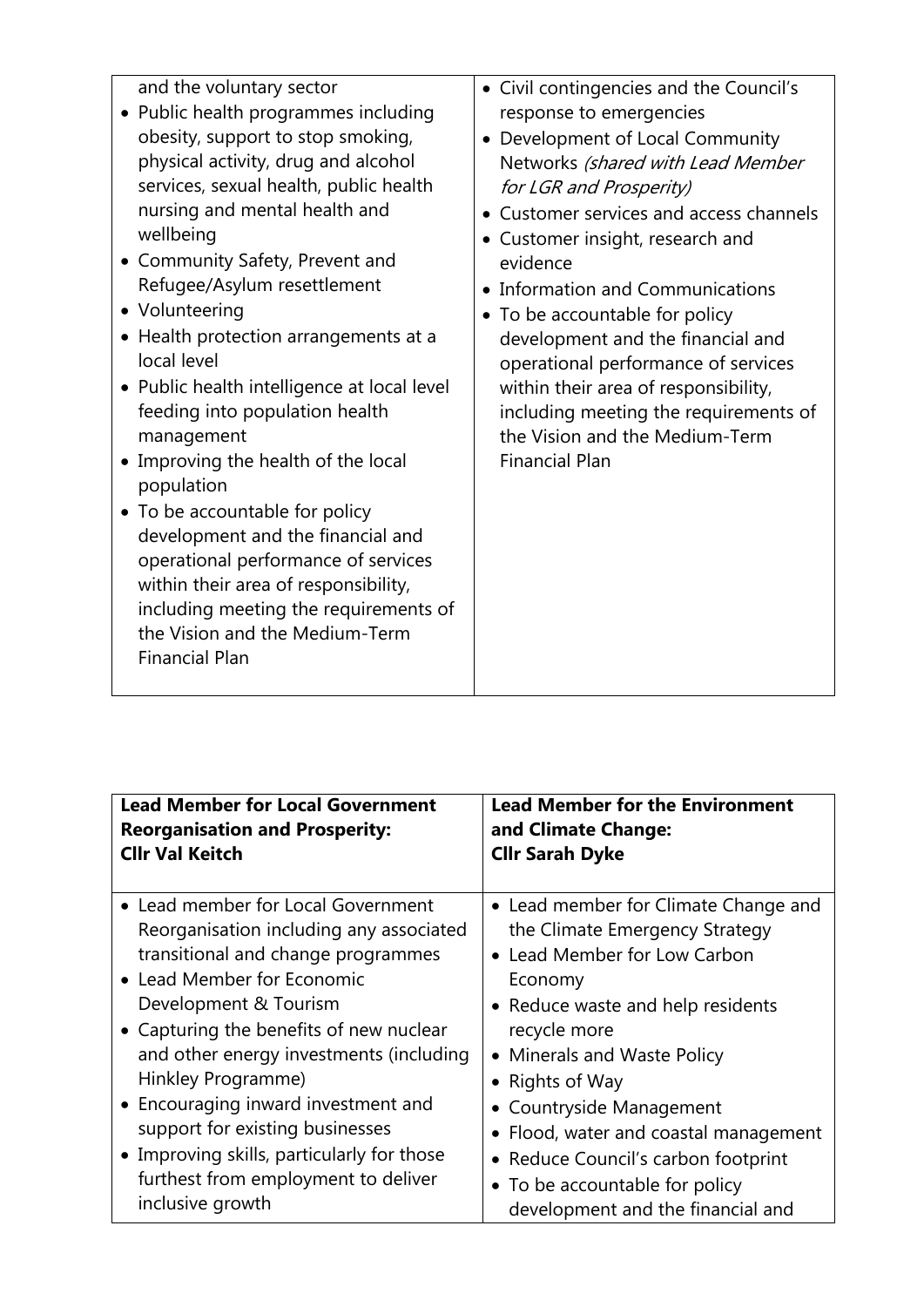| and the voluntary sector<br>Public health programmes including<br>obesity, support to stop smoking,<br>physical activity, drug and alcohol<br>services, sexual health, public health<br>nursing and mental health and<br>wellbeing<br>• Community Safety, Prevent and<br>Refugee/Asylum resettlement<br>• Volunteering<br>• Health protection arrangements at a<br>local level<br>• Public health intelligence at local level<br>feeding into population health<br>management<br>Improving the health of the local<br>population<br>• To be accountable for policy<br>development and the financial and<br>operational performance of services<br>within their area of responsibility,<br>including meeting the requirements of<br>the Vision and the Medium-Term<br><b>Financial Plan</b> | • Civil contingencies and the Council's<br>response to emergencies<br>Development of Local Community<br>$\bullet$<br>Networks (shared with Lead Member<br>for LGR and Prosperity)<br>Customer services and access channels<br>• Customer insight, research and<br>evidence<br>Information and Communications<br>• To be accountable for policy<br>development and the financial and<br>operational performance of services<br>within their area of responsibility,<br>including meeting the requirements of<br>the Vision and the Medium-Term<br><b>Financial Plan</b> |
|--------------------------------------------------------------------------------------------------------------------------------------------------------------------------------------------------------------------------------------------------------------------------------------------------------------------------------------------------------------------------------------------------------------------------------------------------------------------------------------------------------------------------------------------------------------------------------------------------------------------------------------------------------------------------------------------------------------------------------------------------------------------------------------------|------------------------------------------------------------------------------------------------------------------------------------------------------------------------------------------------------------------------------------------------------------------------------------------------------------------------------------------------------------------------------------------------------------------------------------------------------------------------------------------------------------------------------------------------------------------------|
|--------------------------------------------------------------------------------------------------------------------------------------------------------------------------------------------------------------------------------------------------------------------------------------------------------------------------------------------------------------------------------------------------------------------------------------------------------------------------------------------------------------------------------------------------------------------------------------------------------------------------------------------------------------------------------------------------------------------------------------------------------------------------------------------|------------------------------------------------------------------------------------------------------------------------------------------------------------------------------------------------------------------------------------------------------------------------------------------------------------------------------------------------------------------------------------------------------------------------------------------------------------------------------------------------------------------------------------------------------------------------|

| <b>Lead Member for Local Government</b>    | <b>Lead Member for the Environment</b> |
|--------------------------------------------|----------------------------------------|
| <b>Reorganisation and Prosperity:</b>      | and Climate Change:                    |
| <b>Cllr Val Keitch</b>                     | <b>Cllr Sarah Dyke</b>                 |
| • Lead member for Local Government         | • Lead member for Climate Change and   |
| Reorganisation including any associated    | the Climate Emergency Strategy         |
| transitional and change programmes         | • Lead Member for Low Carbon           |
| • Lead Member for Economic                 | Economy                                |
| Development & Tourism                      | • Reduce waste and help residents      |
| • Capturing the benefits of new nuclear    | recycle more                           |
| and other energy investments (including    | • Minerals and Waste Policy            |
| Hinkley Programme)                         | • Rights of Way                        |
| • Encouraging inward investment and        | • Countryside Management               |
| support for existing businesses            | • Flood, water and coastal management  |
| • Improving skills, particularly for those | • Reduce Council's carbon footprint    |
| furthest from employment to deliver        | • To be accountable for policy         |
| inclusive growth                           | development and the financial and      |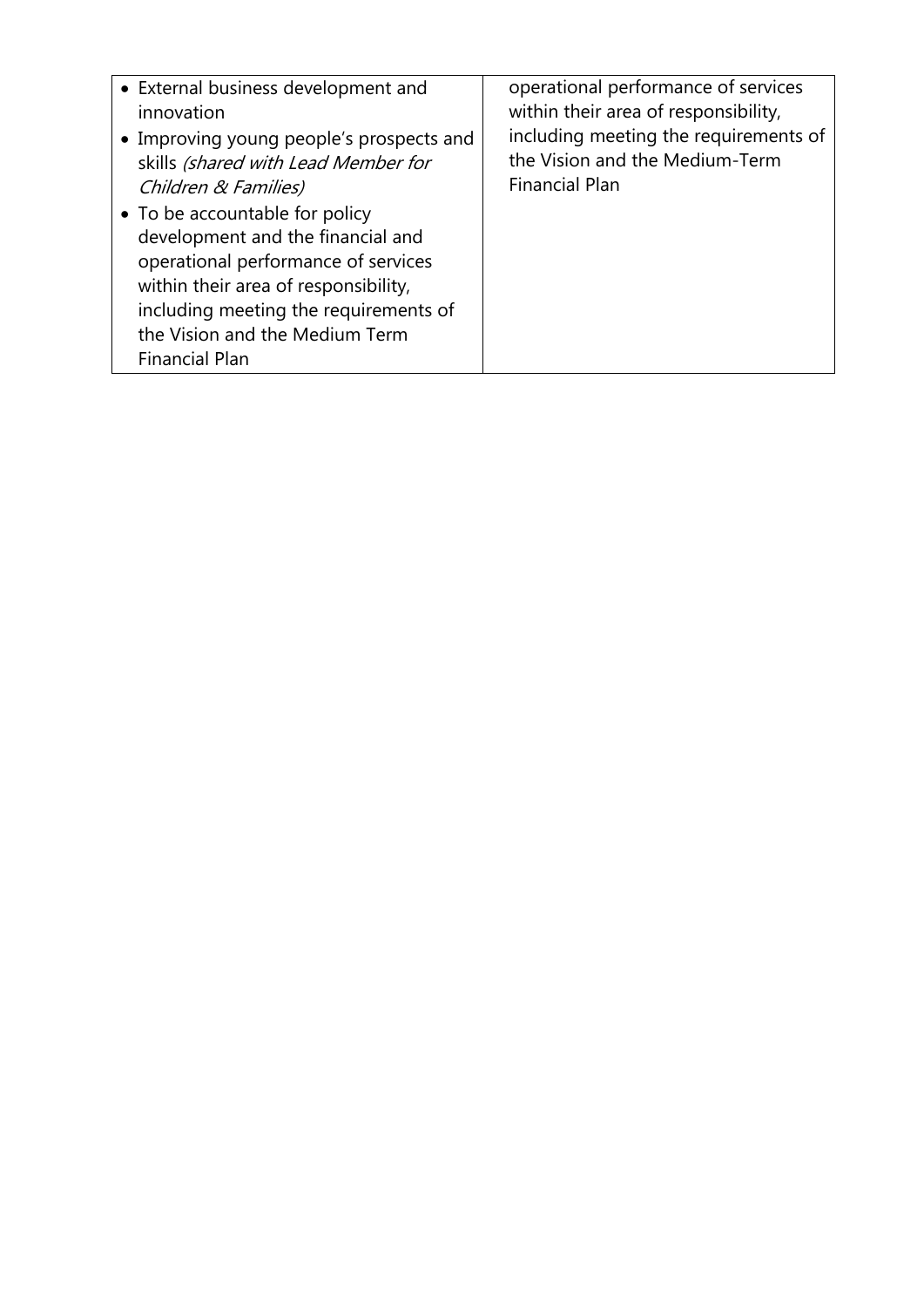| • External business development and<br>innovation<br>• Improving young people's prospects and<br>skills (shared with Lead Member for<br>Children & Families)<br>• To be accountable for policy<br>development and the financial and<br>operational performance of services<br>within their area of responsibility,<br>including meeting the requirements of<br>the Vision and the Medium Term<br><b>Financial Plan</b> | operational performance of services<br>within their area of responsibility,<br>including meeting the requirements of<br>the Vision and the Medium-Term<br><b>Financial Plan</b> |
|------------------------------------------------------------------------------------------------------------------------------------------------------------------------------------------------------------------------------------------------------------------------------------------------------------------------------------------------------------------------------------------------------------------------|---------------------------------------------------------------------------------------------------------------------------------------------------------------------------------|
|------------------------------------------------------------------------------------------------------------------------------------------------------------------------------------------------------------------------------------------------------------------------------------------------------------------------------------------------------------------------------------------------------------------------|---------------------------------------------------------------------------------------------------------------------------------------------------------------------------------|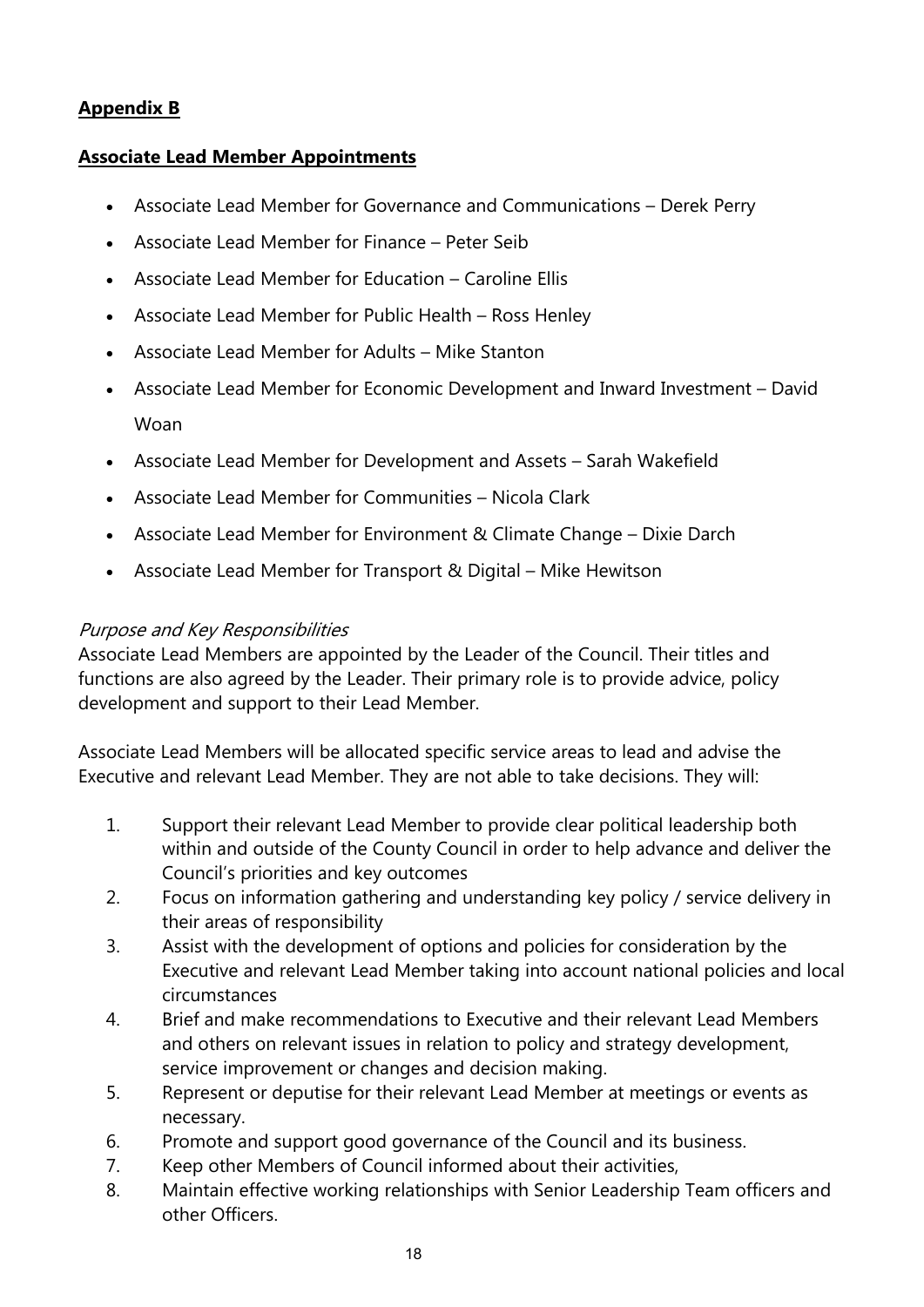## **Appendix B**

### **Associate Lead Member Appointments**

- Associate Lead Member for Governance and Communications Derek Perry
- Associate Lead Member for Finance Peter Seib
- Associate Lead Member for Education Caroline Ellis
- Associate Lead Member for Public Health Ross Henley
- Associate Lead Member for Adults Mike Stanton
- Associate Lead Member for Economic Development and Inward Investment David Woan
- Associate Lead Member for Development and Assets Sarah Wakefield
- Associate Lead Member for Communities Nicola Clark
- Associate Lead Member for Environment & Climate Change Dixie Darch
- Associate Lead Member for Transport & Digital Mike Hewitson

#### *Purpose and Key Responsibilities*

Associate Lead Members are appointed by the Leader of the Council. Their titles and functions are also agreed by the Leader. Their primary role is to provide advice, policy development and support to their Lead Member.

Associate Lead Members will be allocated specific service areas to lead and advise the Executive and relevant Lead Member. They are not able to take decisions. They will:

- 1. Support their relevant Lead Member to provide clear political leadership both within and outside of the County Council in order to help advance and deliver the Council's priorities and key outcomes
- 2. Focus on information gathering and understanding key policy / service delivery in their areas of responsibility
- 3. Assist with the development of options and policies for consideration by the Executive and relevant Lead Member taking into account national policies and local circumstances
- 4. Brief and make recommendations to Executive and their relevant Lead Members and others on relevant issues in relation to policy and strategy development, service improvement or changes and decision making.
- 5. Represent or deputise for their relevant Lead Member at meetings or events as necessary.
- 6. Promote and support good governance of the Council and its business.
- 7. Keep other Members of Council informed about their activities,
- 8. Maintain effective working relationships with Senior Leadership Team officers and other Officers.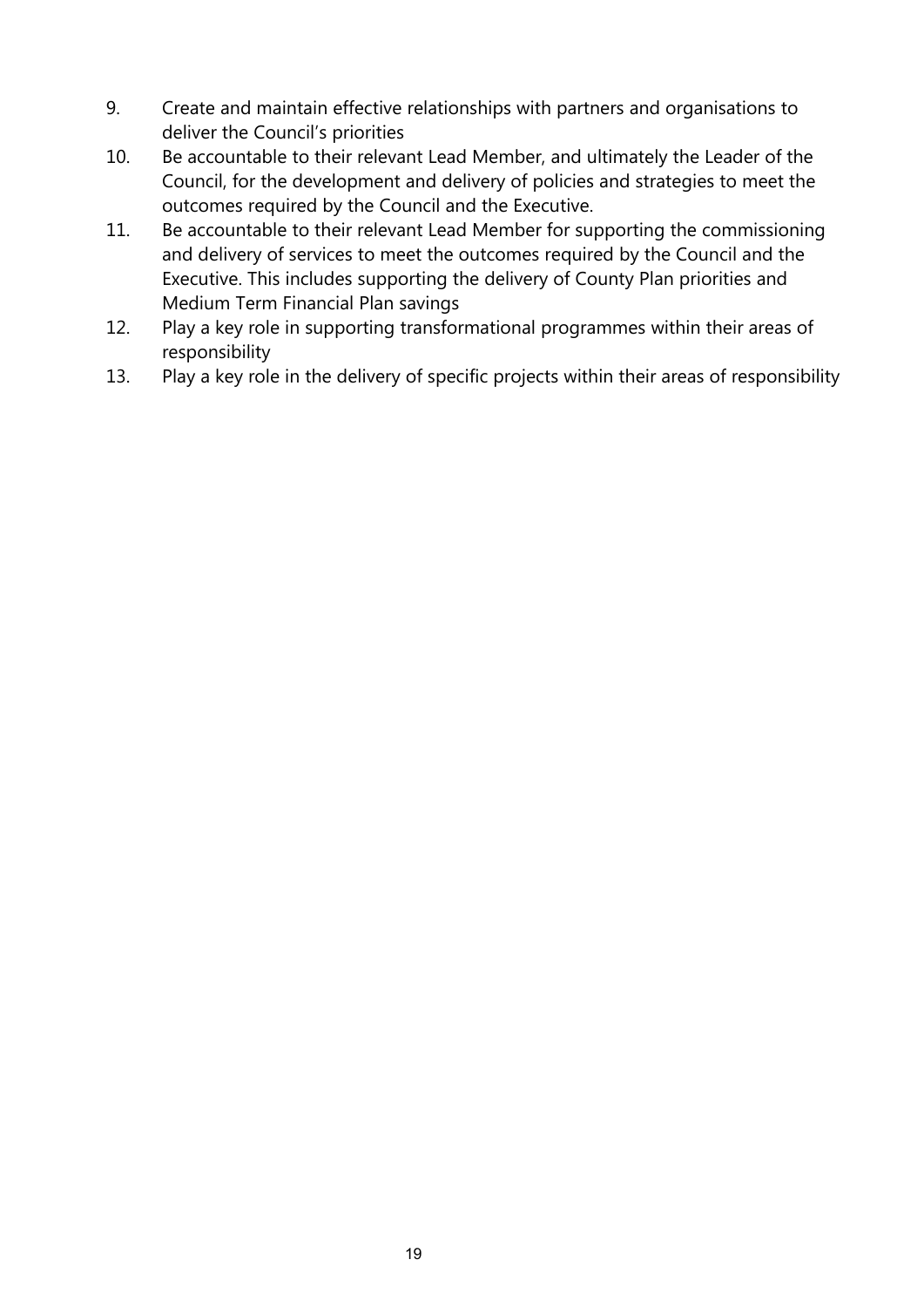- 9. Create and maintain effective relationships with partners and organisations to deliver the Council's priorities
- 10. Be accountable to their relevant Lead Member, and ultimately the Leader of the Council, for the development and delivery of policies and strategies to meet the outcomes required by the Council and the Executive.
- 11. Be accountable to their relevant Lead Member for supporting the commissioning and delivery of services to meet the outcomes required by the Council and the Executive. This includes supporting the delivery of County Plan priorities and Medium Term Financial Plan savings
- 12. Play a key role in supporting transformational programmes within their areas of responsibility
- 13. Play a key role in the delivery of specific projects within their areas of responsibility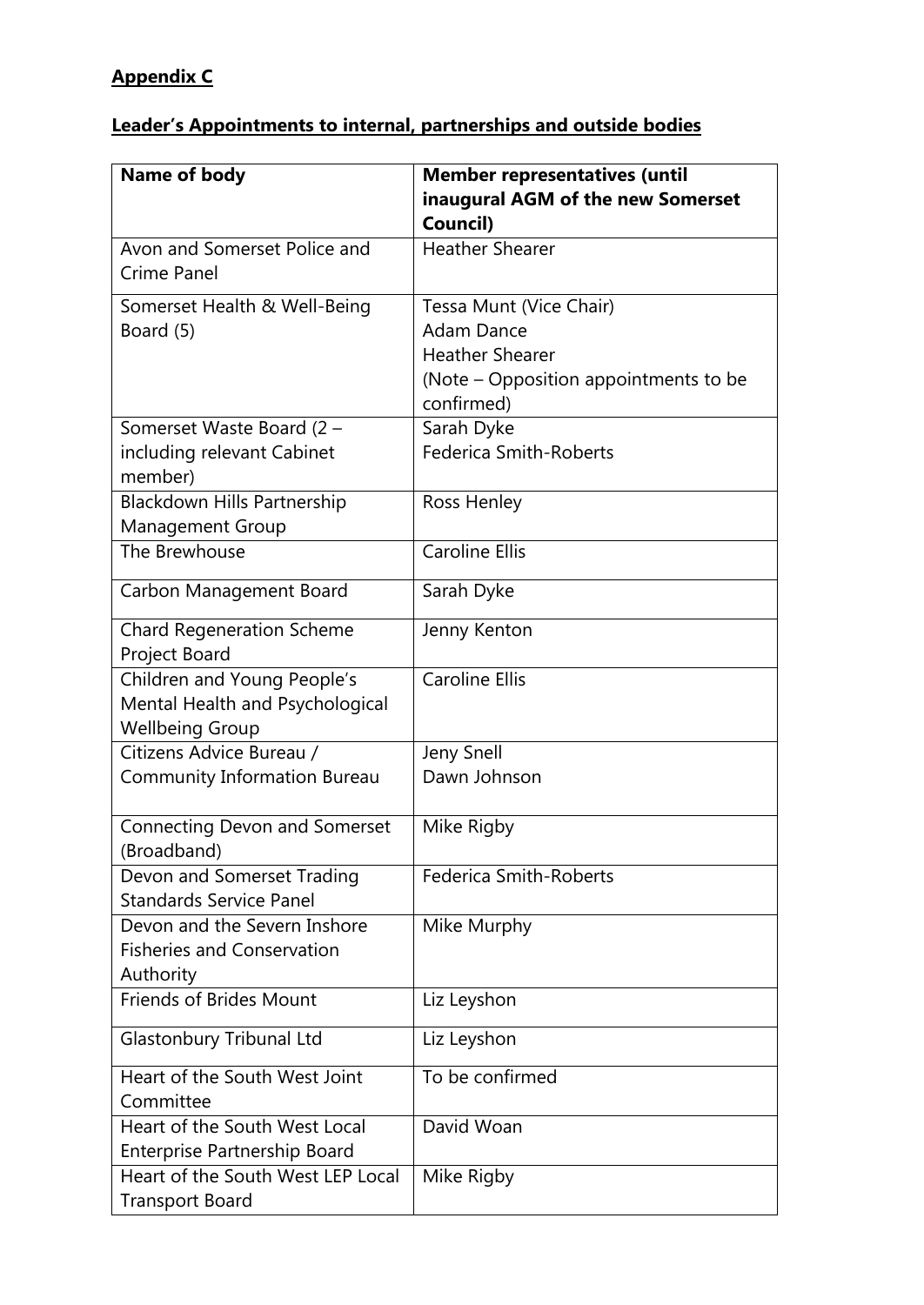## **Appendix C**

# **Leader's Appointments to internal, partnerships and outside bodies**

| Name of body                         | <b>Member representatives (until</b>  |
|--------------------------------------|---------------------------------------|
|                                      | inaugural AGM of the new Somerset     |
|                                      | Council)                              |
| Avon and Somerset Police and         | <b>Heather Shearer</b>                |
| Crime Panel                          |                                       |
| Somerset Health & Well-Being         | Tessa Munt (Vice Chair)               |
| Board (5)                            | <b>Adam Dance</b>                     |
|                                      | <b>Heather Shearer</b>                |
|                                      | (Note – Opposition appointments to be |
|                                      | confirmed)                            |
| Somerset Waste Board (2 -            | Sarah Dyke                            |
| including relevant Cabinet           | <b>Federica Smith-Roberts</b>         |
| member)                              |                                       |
| Blackdown Hills Partnership          | Ross Henley                           |
| <b>Management Group</b>              |                                       |
| The Brewhouse                        | <b>Caroline Ellis</b>                 |
| Carbon Management Board              | Sarah Dyke                            |
| <b>Chard Regeneration Scheme</b>     | Jenny Kenton                          |
| Project Board                        |                                       |
| Children and Young People's          | <b>Caroline Ellis</b>                 |
| Mental Health and Psychological      |                                       |
| <b>Wellbeing Group</b>               |                                       |
| Citizens Advice Bureau /             | <b>Jeny Snell</b>                     |
| <b>Community Information Bureau</b>  | Dawn Johnson                          |
| <b>Connecting Devon and Somerset</b> | Mike Rigby                            |
| (Broadband)                          |                                       |
| Devon and Somerset Trading           | <b>Federica Smith-Roberts</b>         |
| <b>Standards Service Panel</b>       |                                       |
| Devon and the Severn Inshore         | Mike Murphy                           |
| <b>Fisheries and Conservation</b>    |                                       |
| Authority                            |                                       |
| <b>Friends of Brides Mount</b>       | Liz Leyshon                           |
| Glastonbury Tribunal Ltd             | Liz Leyshon                           |
| Heart of the South West Joint        | To be confirmed                       |
| Committee                            |                                       |
| Heart of the South West Local        | David Woan                            |
| Enterprise Partnership Board         |                                       |
| Heart of the South West LEP Local    | Mike Rigby                            |
| <b>Transport Board</b>               |                                       |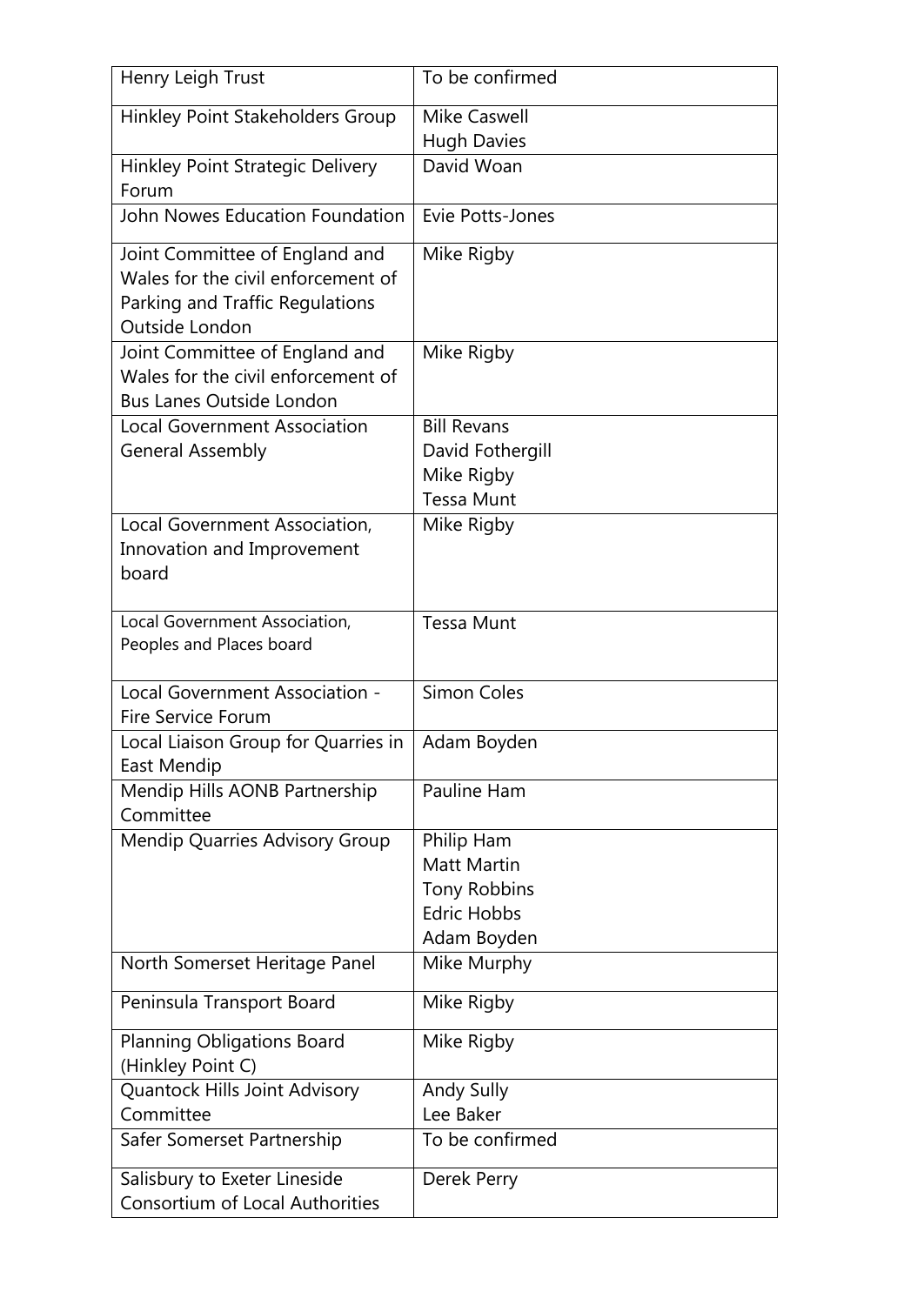| Henry Leigh Trust                                                                                                         | To be confirmed                                                                              |
|---------------------------------------------------------------------------------------------------------------------------|----------------------------------------------------------------------------------------------|
| Hinkley Point Stakeholders Group                                                                                          | <b>Mike Caswell</b>                                                                          |
|                                                                                                                           | <b>Hugh Davies</b>                                                                           |
| Hinkley Point Strategic Delivery<br>Forum                                                                                 | David Woan                                                                                   |
| John Nowes Education Foundation                                                                                           | Evie Potts-Jones                                                                             |
| Joint Committee of England and<br>Wales for the civil enforcement of<br>Parking and Traffic Regulations<br>Outside London | Mike Rigby                                                                                   |
| Joint Committee of England and<br>Wales for the civil enforcement of<br><b>Bus Lanes Outside London</b>                   | Mike Rigby                                                                                   |
| <b>Local Government Association</b><br><b>General Assembly</b>                                                            | <b>Bill Revans</b><br>David Fothergill<br>Mike Rigby<br><b>Tessa Munt</b>                    |
| Local Government Association,<br>Innovation and Improvement<br>board                                                      | Mike Rigby                                                                                   |
| Local Government Association,<br>Peoples and Places board                                                                 | <b>Tessa Munt</b>                                                                            |
| Local Government Association -<br><b>Fire Service Forum</b>                                                               | <b>Simon Coles</b>                                                                           |
| Local Liaison Group for Quarries in<br>East Mendip                                                                        | Adam Boyden                                                                                  |
| Mendip Hills AONB Partnership<br>Committee                                                                                | Pauline Ham                                                                                  |
| Mendip Quarries Advisory Group                                                                                            | Philip Ham<br><b>Matt Martin</b><br><b>Tony Robbins</b><br><b>Edric Hobbs</b><br>Adam Boyden |
| North Somerset Heritage Panel                                                                                             | Mike Murphy                                                                                  |
| Peninsula Transport Board                                                                                                 | Mike Rigby                                                                                   |
| <b>Planning Obligations Board</b><br>(Hinkley Point C)                                                                    | Mike Rigby                                                                                   |
| Quantock Hills Joint Advisory<br>Committee                                                                                | <b>Andy Sully</b><br>Lee Baker                                                               |
| Safer Somerset Partnership                                                                                                | To be confirmed                                                                              |
| Salisbury to Exeter Lineside<br><b>Consortium of Local Authorities</b>                                                    | Derek Perry                                                                                  |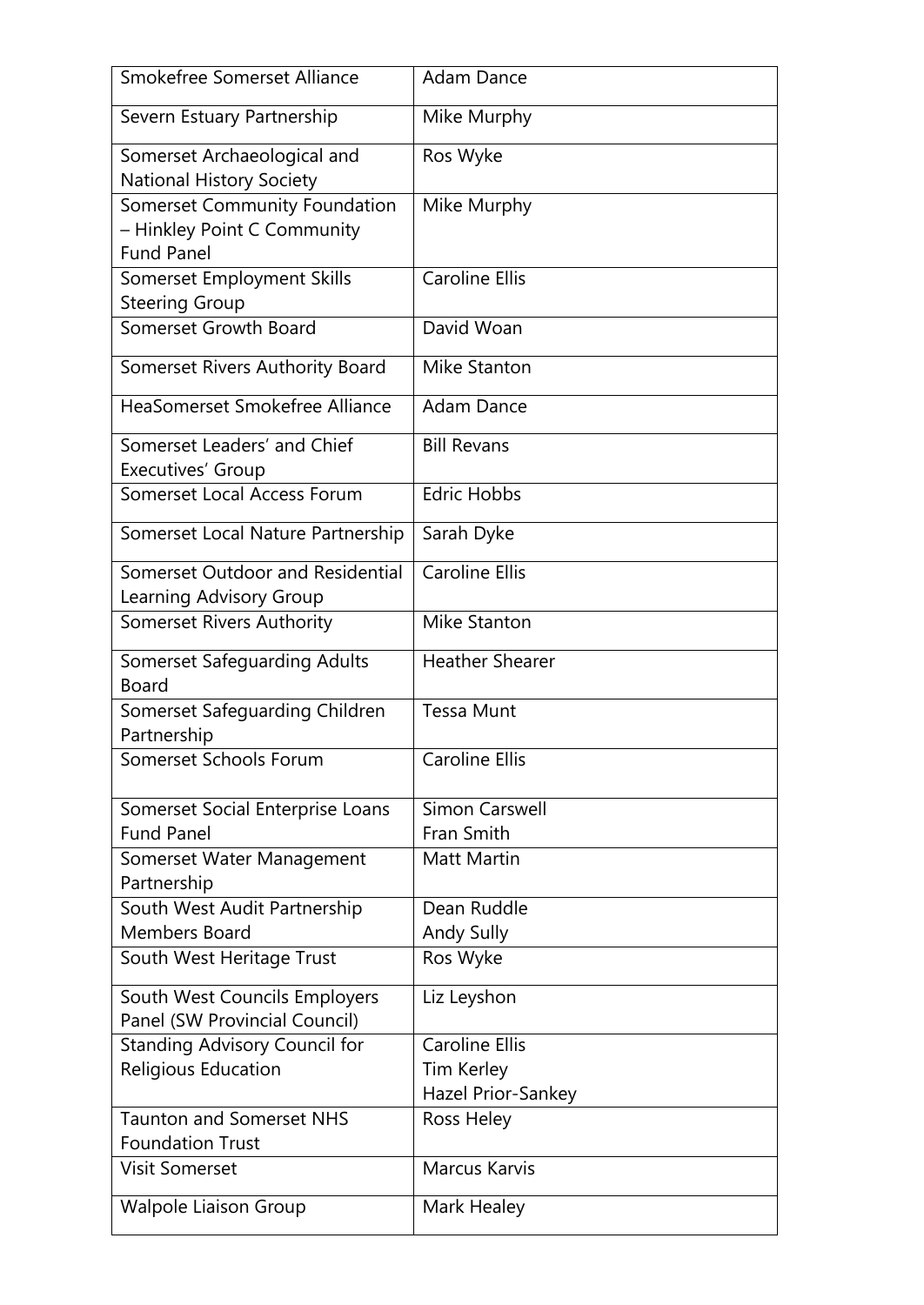| Smokefree Somerset Alliance                                                       | <b>Adam Dance</b>                   |
|-----------------------------------------------------------------------------------|-------------------------------------|
| Severn Estuary Partnership                                                        | Mike Murphy                         |
| Somerset Archaeological and<br><b>National History Society</b>                    | Ros Wyke                            |
| Somerset Community Foundation<br>- Hinkley Point C Community<br><b>Fund Panel</b> | Mike Murphy                         |
| Somerset Employment Skills<br><b>Steering Group</b>                               | <b>Caroline Ellis</b>               |
| Somerset Growth Board                                                             | David Woan                          |
| Somerset Rivers Authority Board                                                   | Mike Stanton                        |
| HeaSomerset Smokefree Alliance                                                    | <b>Adam Dance</b>                   |
| Somerset Leaders' and Chief<br>Executives' Group                                  | <b>Bill Revans</b>                  |
| Somerset Local Access Forum                                                       | <b>Edric Hobbs</b>                  |
| Somerset Local Nature Partnership                                                 | Sarah Dyke                          |
| Somerset Outdoor and Residential<br>Learning Advisory Group                       | <b>Caroline Ellis</b>               |
| <b>Somerset Rivers Authority</b>                                                  | <b>Mike Stanton</b>                 |
| <b>Somerset Safeguarding Adults</b><br><b>Board</b>                               | <b>Heather Shearer</b>              |
| Somerset Safeguarding Children<br>Partnership                                     | <b>Tessa Munt</b>                   |
| Somerset Schools Forum                                                            | <b>Caroline Ellis</b>               |
| Somerset Social Enterprise Loans<br><b>Fund Panel</b>                             | <b>Simon Carswell</b><br>Fran Smith |
| Somerset Water Management<br>Partnership                                          | <b>Matt Martin</b>                  |
| South West Audit Partnership<br><b>Members Board</b>                              | Dean Ruddle                         |
| South West Heritage Trust                                                         | <b>Andy Sully</b><br>Ros Wyke       |
| South West Councils Employers<br>Panel (SW Provincial Council)                    | Liz Leyshon                         |
| <b>Standing Advisory Council for</b>                                              | <b>Caroline Ellis</b>               |
| Religious Education                                                               | Tim Kerley<br>Hazel Prior-Sankey    |
| <b>Taunton and Somerset NHS</b><br><b>Foundation Trust</b>                        | Ross Heley                          |
| <b>Visit Somerset</b>                                                             | <b>Marcus Karvis</b>                |
| <b>Walpole Liaison Group</b>                                                      | Mark Healey                         |